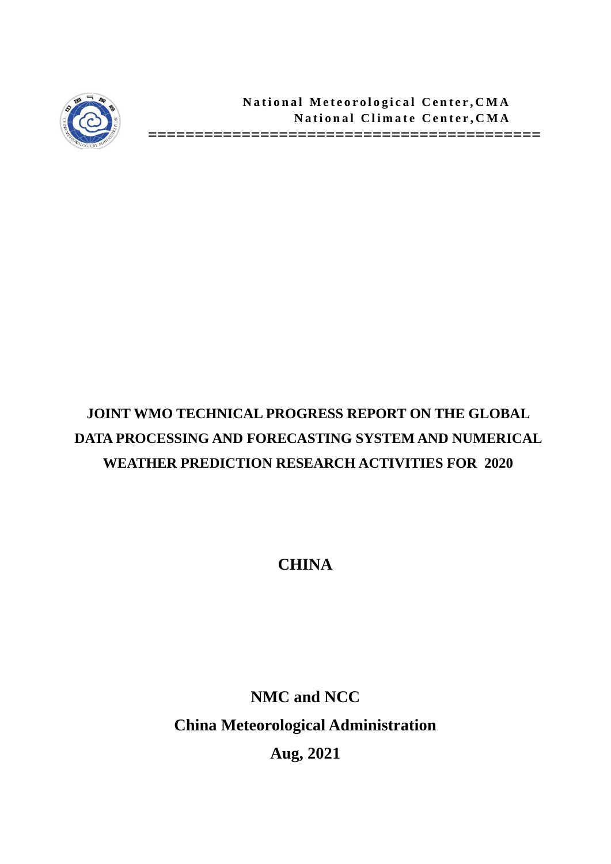

**==========================================**

# **JOINT WMO TECHNICAL PROGRESS REPORT ON THE GLOBAL DATA PROCESSING AND FORECASTING SYSTEM AND NUMERICAL WEATHER PREDICTION RESEARCH ACTIVITIES FOR 2020**

**CHINA**

**NMC and NCC China Meteorological Administration Aug, 2021**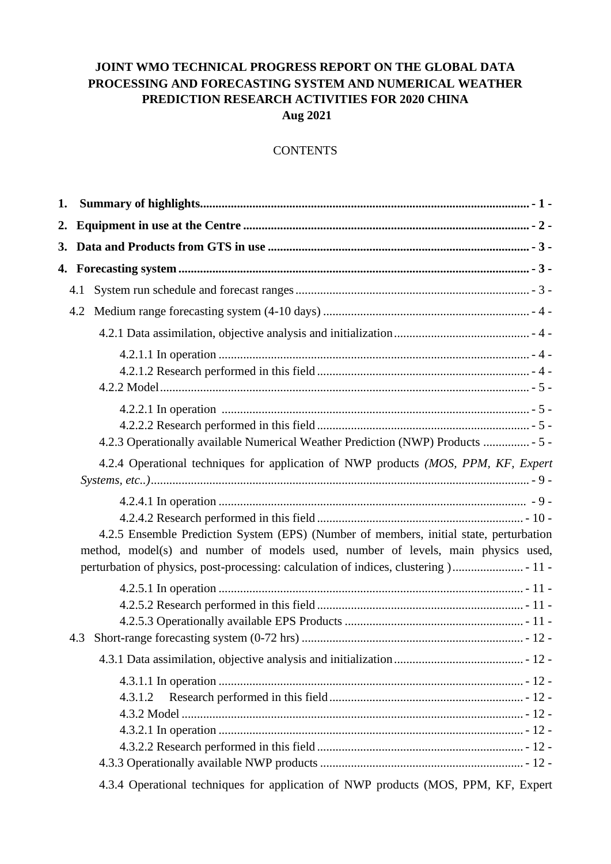## **JOINT WMO TECHNICAL PROGRESS REPORT ON THE GLOBAL DATA PROCESSING AND FORECASTING SYSTEM AND NUMERICAL WEATHER PREDICTION RESEARCH ACTIVITIES FOR 2020 CHINA Aug 2021**

## **CONTENTS**

| 4.1                                                                                                                                                                        |  |
|----------------------------------------------------------------------------------------------------------------------------------------------------------------------------|--|
|                                                                                                                                                                            |  |
|                                                                                                                                                                            |  |
|                                                                                                                                                                            |  |
| 4.2.3 Operationally available Numerical Weather Prediction (NWP) Products  - 5 -                                                                                           |  |
| 4.2.4 Operational techniques for application of NWP products (MOS, PPM, KF, Expert                                                                                         |  |
| 4.2.5 Ensemble Prediction System (EPS) (Number of members, initial state, perturbation<br>method, model(s) and number of models used, number of levels, main physics used, |  |
|                                                                                                                                                                            |  |
|                                                                                                                                                                            |  |
| 4.3.1.2                                                                                                                                                                    |  |
| 4.3.4 Operational techniques for application of NWP products (MOS, PPM, KF, Expert                                                                                         |  |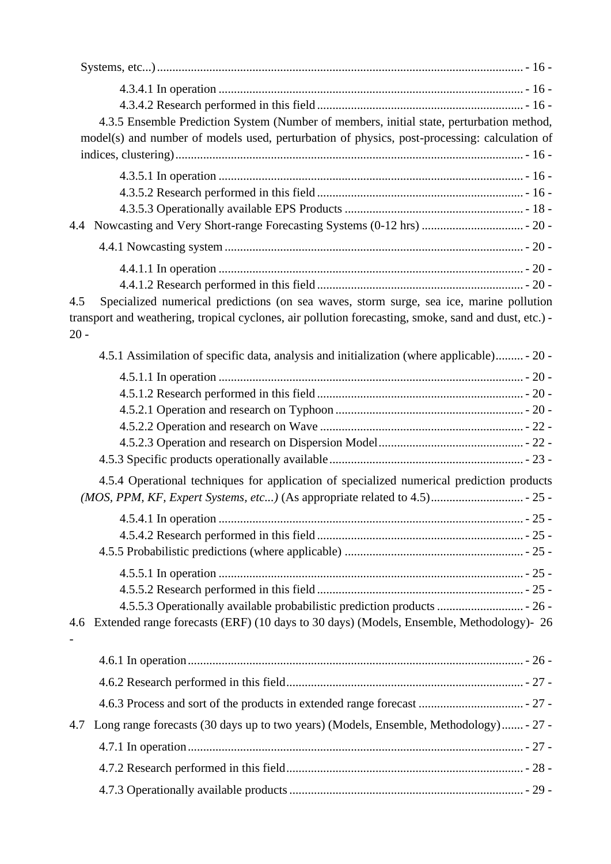| 4.3.5 Ensemble Prediction System (Number of members, initial state, perturbation method,              |  |
|-------------------------------------------------------------------------------------------------------|--|
| model(s) and number of models used, perturbation of physics, post-processing: calculation of          |  |
|                                                                                                       |  |
|                                                                                                       |  |
|                                                                                                       |  |
|                                                                                                       |  |
| 4.4 Nowcasting and Very Short-range Forecasting Systems (0-12 hrs)  - 20 -                            |  |
|                                                                                                       |  |
|                                                                                                       |  |
|                                                                                                       |  |
| Specialized numerical predictions (on sea waves, storm surge, sea ice, marine pollution<br>4.5        |  |
| transport and weathering, tropical cyclones, air pollution forecasting, smoke, sand and dust, etc.) - |  |
| $20 -$                                                                                                |  |
| 4.5.1 Assimilation of specific data, analysis and initialization (where applicable) - 20 -            |  |
|                                                                                                       |  |
|                                                                                                       |  |
|                                                                                                       |  |
|                                                                                                       |  |
|                                                                                                       |  |
|                                                                                                       |  |
| 4.5.4 Operational techniques for application of specialized numerical prediction products             |  |
|                                                                                                       |  |
|                                                                                                       |  |
|                                                                                                       |  |
|                                                                                                       |  |
|                                                                                                       |  |
|                                                                                                       |  |
|                                                                                                       |  |
| Extended range forecasts (ERF) (10 days to 30 days) (Models, Ensemble, Methodology)- 26<br>4.6        |  |
|                                                                                                       |  |
|                                                                                                       |  |
|                                                                                                       |  |
|                                                                                                       |  |
| 4.7                                                                                                   |  |
| Long range forecasts (30 days up to two years) (Models, Ensemble, Methodology) - 27 -                 |  |
|                                                                                                       |  |
|                                                                                                       |  |
|                                                                                                       |  |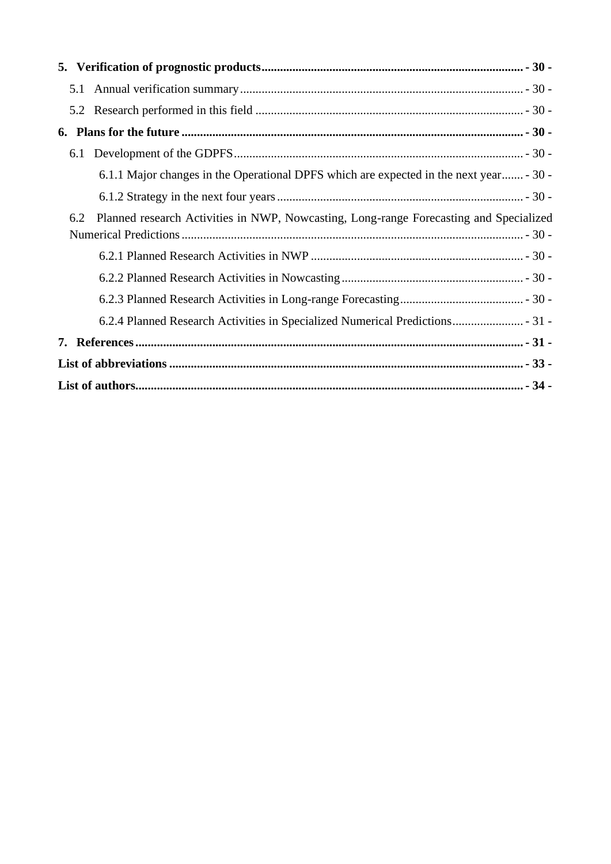|     | 6.1.1 Major changes in the Operational DPFS which are expected in the next year - 30 - |  |
|-----|----------------------------------------------------------------------------------------|--|
|     |                                                                                        |  |
| 6.2 | Planned research Activities in NWP, Nowcasting, Long-range Forecasting and Specialized |  |
|     |                                                                                        |  |
|     |                                                                                        |  |
|     |                                                                                        |  |
|     |                                                                                        |  |
|     |                                                                                        |  |
|     |                                                                                        |  |
|     |                                                                                        |  |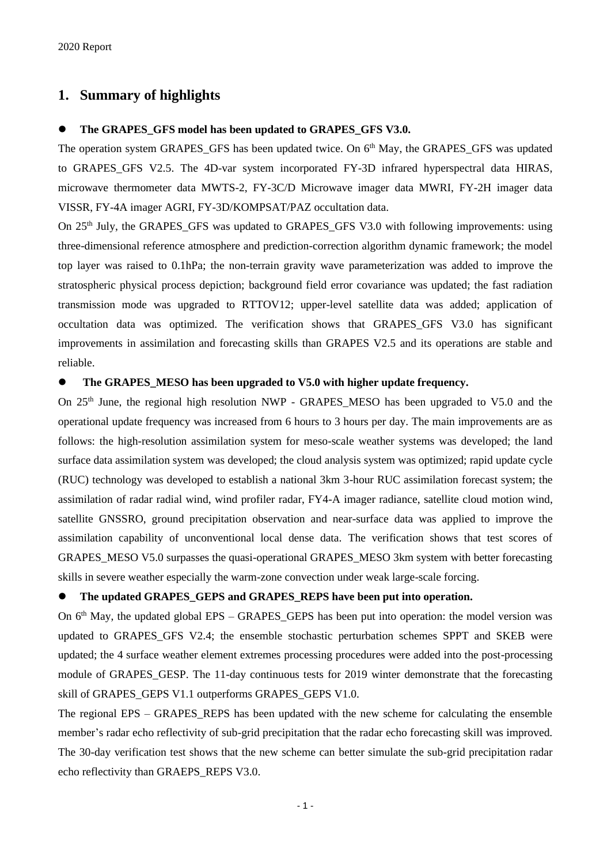## <span id="page-4-0"></span>**1. Summary of highlights**

#### ⚫ **The GRAPES\_GFS model has been updated to GRAPES\_GFS V3.0.**

The operation system GRAPES\_GFS has been updated twice. On 6<sup>th</sup> May, the GRAPES\_GFS was updated to GRAPES\_GFS V2.5. The 4D-var system incorporated FY-3D infrared hyperspectral data HIRAS, microwave thermometer data MWTS-2, FY-3C/D Microwave imager data MWRI, FY-2H imager data VISSR, FY-4A imager AGRI, FY-3D/KOMPSAT/PAZ occultation data.

On 25<sup>th</sup> July, the GRAPES\_GFS was updated to GRAPES\_GFS V3.0 with following improvements: using three-dimensional reference atmosphere and prediction-correction algorithm dynamic framework; the model top layer was raised to 0.1hPa; the non-terrain gravity wave parameterization was added to improve the stratospheric physical process depiction; background field error covariance was updated; the fast radiation transmission mode was upgraded to RTTOV12; upper-level satellite data was added; application of occultation data was optimized. The verification shows that GRAPES\_GFS V3.0 has significant improvements in assimilation and forecasting skills than GRAPES V2.5 and its operations are stable and reliable.

#### ● The GRAPES MESO has been upgraded to V5.0 with higher update frequency.

On 25<sup>th</sup> June, the regional high resolution NWP - GRAPES MESO has been upgraded to V5.0 and the operational update frequency was increased from 6 hours to 3 hours per day. The main improvements are as follows: the high-resolution assimilation system for meso-scale weather systems was developed; the land surface data assimilation system was developed; the cloud analysis system was optimized; rapid update cycle (RUC) technology was developed to establish a national 3km 3-hour RUC assimilation forecast system; the assimilation of radar radial wind, wind profiler radar, FY4-A imager radiance, satellite cloud motion wind, satellite GNSSRO, ground precipitation observation and near-surface data was applied to improve the assimilation capability of unconventional local dense data. The verification shows that test scores of GRAPES\_MESO V5.0 surpasses the quasi-operational GRAPES\_MESO 3km system with better forecasting skills in severe weather especially the warm-zone convection under weak large-scale forcing.

#### ⚫ **The updated GRAPES\_GEPS and GRAPES\_REPS have been put into operation.**

On  $6<sup>th</sup>$  May, the updated global EPS – GRAPES\_GEPS has been put into operation: the model version was updated to GRAPES\_GFS V2.4; the ensemble stochastic perturbation schemes SPPT and SKEB were updated; the 4 surface weather element extremes processing procedures were added into the post-processing module of GRAPES\_GESP. The 11-day continuous tests for 2019 winter demonstrate that the forecasting skill of GRAPES\_GEPS V1.1 outperforms GRAPES\_GEPS V1.0.

The regional EPS – GRAPES REPS has been updated with the new scheme for calculating the ensemble member's radar echo reflectivity of sub-grid precipitation that the radar echo forecasting skill was improved. The 30-day verification test shows that the new scheme can better simulate the sub-grid precipitation radar echo reflectivity than GRAEPS\_REPS V3.0.

- 1 -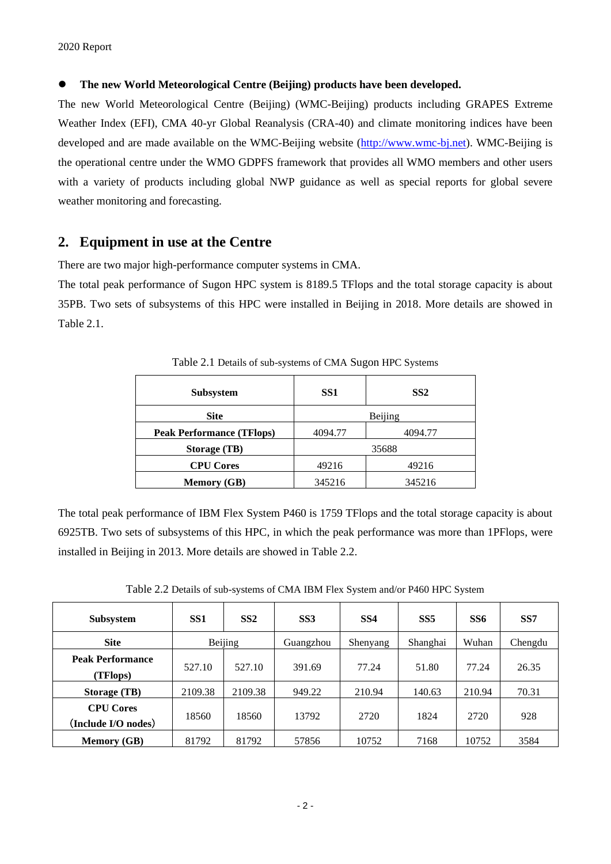### ⚫ **The new World Meteorological Centre (Beijing) products have been developed.**

The new World Meteorological Centre (Beijing) (WMC-Beijing) products including GRAPES Extreme Weather Index (EFI), CMA 40-yr Global Reanalysis (CRA-40) and climate monitoring indices have been developed and are made available on the WMC-Beijing website [\(http://www.wmc-bj.net\)](http://www.wmc-bj.net/). WMC-Beijing is the operational centre under the WMO GDPFS framework that provides all WMO members and other users with a variety of products including global NWP guidance as well as special reports for global severe weather monitoring and forecasting.

## <span id="page-5-0"></span>**2. Equipment in use at the Centre**

There are two major high-performance computer systems in CMA.

The total peak performance of Sugon HPC system is 8189.5 TFlops and the total storage capacity is about 35PB. Two sets of subsystems of this HPC were installed in Beijing in 2018. More details are showed in Table 2.1.

| <b>Subsystem</b>                 | SS1     | SS <sub>2</sub> |
|----------------------------------|---------|-----------------|
| <b>Site</b>                      | Beijing |                 |
| <b>Peak Performance (TFlops)</b> | 4094.77 | 4094.77         |
| Storage (TB)                     |         | 35688           |
| <b>CPU Cores</b>                 | 49216   | 49216           |
| <b>Memory (GB)</b>               | 345216  | 345216          |

Table 2.1 Details of sub-systems of CMA Sugon HPC Systems

The total peak performance of IBM Flex System P460 is 1759 TFlops and the total storage capacity is about 6925TB. Two sets of subsystems of this HPC, in which the peak performance was more than 1PFlops, were installed in Beijing in 2013. More details are showed in Table 2.2.

| <b>Subsystem</b>                        | SS <sub>1</sub> | SS <sub>2</sub> | SS <sub>3</sub> | SS <sub>4</sub> | SS <sub>5</sub> | SS <sub>6</sub> | SS7     |
|-----------------------------------------|-----------------|-----------------|-----------------|-----------------|-----------------|-----------------|---------|
| <b>Site</b>                             | Beijing         |                 | Guangzhou       | Shenyang        | Shanghai        | Wuhan           | Chengdu |
| <b>Peak Performance</b><br>(TFlops)     | 527.10          | 527.10          | 391.69          | 77.24           | 51.80           | 77.24           | 26.35   |
| <b>Storage (TB)</b>                     | 2109.38         | 2109.38         | 949.22          | 210.94          | 140.63          | 210.94          | 70.31   |
| <b>CPU</b> Cores<br>(Include I/O nodes) | 18560           | 18560           | 13792           | 2720            | 1824            | 2720            | 928     |
| <b>Memory (GB)</b>                      | 81792           | 81792           | 57856           | 10752           | 7168            | 10752           | 3584    |

Table 2.2 Details of sub-systems of CMA IBM Flex System and/or P460 HPC System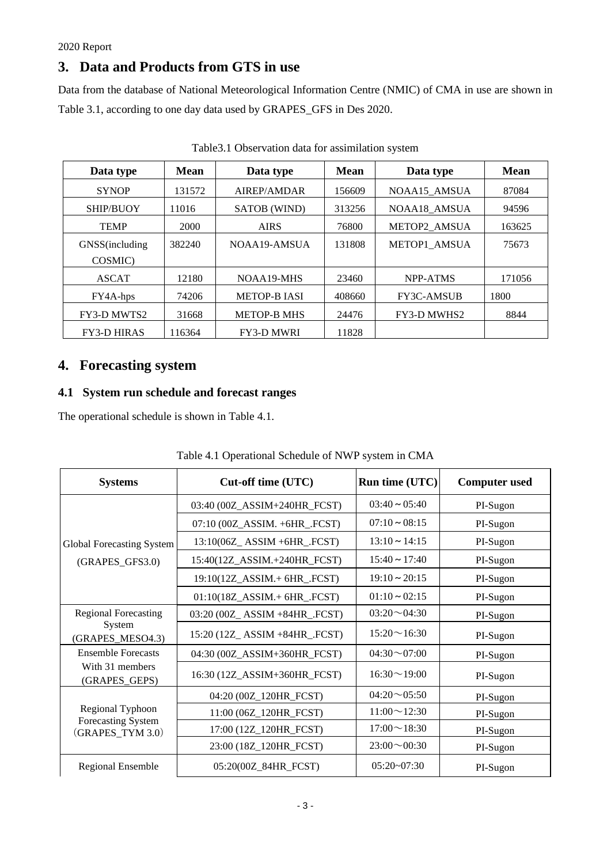## <span id="page-6-0"></span>**3. Data and Products from GTS in use**

Data from the database of National Meteorological Information Centre (NMIC) of CMA in use are shown in Table 3.1, according to one day data used by GRAPES\_GFS in Des 2020.

| Data type                 | Mean                  | Data type          | <b>Mean</b> | Data type          | Mean   |
|---------------------------|-----------------------|--------------------|-------------|--------------------|--------|
| <b>SYNOP</b>              | AIREP/AMDAR<br>131572 |                    | 156609      | NOAA15 AMSUA       | 87084  |
| SHIP/BUOY                 | 11016                 | SATOB (WIND)       | 313256      | NOAA18 AMSUA       | 94596  |
| <b>TEMP</b><br>2000       |                       | <b>AIRS</b>        | 76800       | METOP2 AMSUA       | 163625 |
| GNSS(including<br>COSMIC) | 382240                | NOAA19-AMSUA       | 131808      | METOP1_AMSUA       | 75673  |
| <b>ASCAT</b>              | 12180                 | NOAA19-MHS         | 23460       | <b>NPP-ATMS</b>    | 171056 |
| FY4A-hps                  | 74206                 | <b>METOP-BIASI</b> | 408660      | <b>FY3C-AMSUB</b>  | 1800   |
| <b>FY3-D MWTS2</b>        | 31668                 | <b>METOP-B MHS</b> | 24476       | <b>FY3-D MWHS2</b> | 8844   |
| <b>FY3-D HIRAS</b>        | 116364                | <b>FY3-D MWRI</b>  | 11828       |                    |        |

Table3.1 Observation data for assimilation system

## <span id="page-6-1"></span>**4. Forecasting system**

## <span id="page-6-2"></span>**4.1 System run schedule and forecast ranges**

The operational schedule is shown in Table 4.1.

| <b>Systems</b>                         | Cut-off time (UTC)            | Run time (UTC)        | <b>Computer used</b> |
|----------------------------------------|-------------------------------|-----------------------|----------------------|
|                                        | 03:40 (00Z_ASSIM+240HR_FCST)  | $03:40 \sim 05:40$    | PI-Sugon             |
|                                        | 07:10 (00Z_ASSIM. +6HR_.FCST) | $07:10 \sim 08:15$    | PI-Sugon             |
| Global Forecasting System              | 13:10(06Z_ASSIM +6HR_.FCST)   | $13:10 \sim 14:15$    | PI-Sugon             |
| (GRAPES_GFS3.0)                        | 15:40(12Z_ASSIM.+240HR_FCST)  | $15:40 \sim 17:40$    | PI-Sugon             |
|                                        | 19:10(12Z_ASSIM.+ 6HR_.FCST)  | $19:10 \approx 20:15$ | PI-Sugon             |
|                                        | 01:10(18Z_ASSIM.+ 6HR_.FCST)  | $01:10 \sim 02:15$    | PI-Sugon             |
| <b>Regional Forecasting</b>            | 03:20 (00Z_ASSIM +84HR_FCST)  | $03:20 \sim 04:30$    | PI-Sugon             |
| System<br>(GRAPES_MESO4.3)             | 15:20 (12Z_ASSIM +84HR_.FCST) | $15:20 \sim 16:30$    | PI-Sugon             |
| <b>Ensemble Forecasts</b>              | 04:30 (00Z_ASSIM+360HR_FCST)  | $04:30 \sim 07:00$    | PI-Sugon             |
| With 31 members<br>(GRAPES_GEPS)       | 16:30 (12Z_ASSIM+360HR_FCST)  | $16:30 \sim 19:00$    | PI-Sugon             |
|                                        | 04:20 (00Z_120HR_FCST)        | $04:20 \sim 05:50$    | PI-Sugon             |
| Regional Typhoon                       | 11:00 (06Z_120HR_FCST)        | $11:00 \sim 12:30$    | PI-Sugon             |
| Forecasting System<br>(GRAPES TYM 3.0) | 17:00 (12Z_120HR_FCST)        | $17:00 \sim 18:30$    | PI-Sugon             |
|                                        | 23:00 (18Z_120HR_FCST)        | $23:00 \sim 00:30$    | PI-Sugon             |
| Regional Ensemble                      | 05:20(00Z_84HR_FCST)          | $05:20-07:30$         | PI-Sugon             |

## Table 4.1 Operational Schedule of NWP system in CMA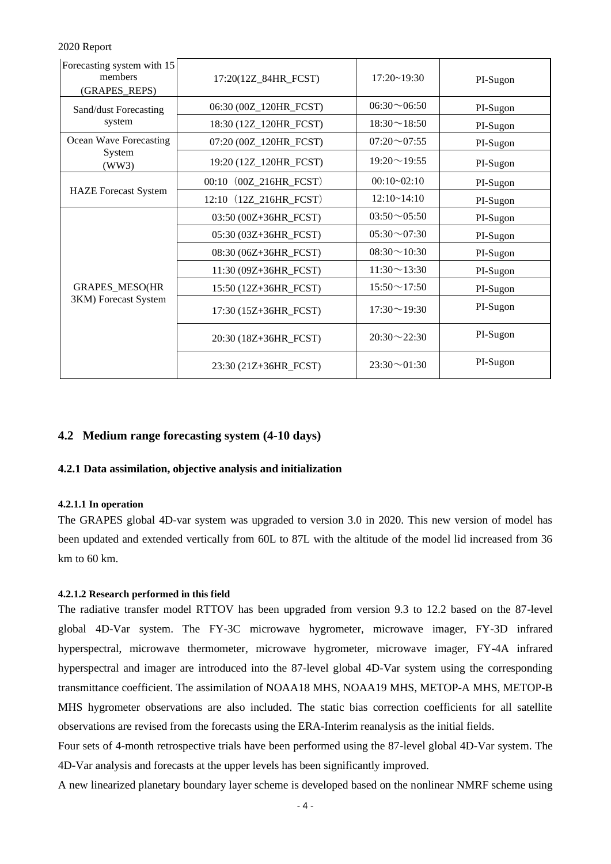| Forecasting system with 15<br>members<br>(GRAPES_REPS) | 17:20(12Z_84HR_FCST)        | $17:20 - 19:30$    | PI-Sugon |
|--------------------------------------------------------|-----------------------------|--------------------|----------|
| Sand/dust Forecasting                                  | 06:30 (00Z_120HR_FCST)      | $06:30 \sim 06:50$ | PI-Sugon |
| system                                                 | 18:30 (12Z_120HR_FCST)      | $18:30 \sim 18:50$ | PI-Sugon |
| Ocean Wave Forecasting                                 | 07:20 (00Z_120HR_FCST)      | $07:20 \sim 07:55$ | PI-Sugon |
| System<br>(WW3)                                        | 19:20 (12Z_120HR_FCST)      | $19:20 \sim 19:55$ | PI-Sugon |
|                                                        | $(00Z_216HR_FCST)$<br>00:10 | $00:10 - 02:10$    | PI-Sugon |
| <b>HAZE</b> Forecast System                            | $(12Z_216HR_FCST)$<br>12:10 | $12:10-14:10$      | PI-Sugon |
|                                                        | 03:50 (00Z+36HR_FCST)       | $03:50 \sim 05:50$ | PI-Sugon |
|                                                        | 05:30 (03Z+36HR_FCST)       | $05:30 \sim 07:30$ | PI-Sugon |
|                                                        | 08:30 (06Z+36HR_FCST)       | $08:30 \sim 10:30$ | PI-Sugon |
|                                                        | 11:30 (09Z+36HR_FCST)       | $11:30 \sim 13:30$ | PI-Sugon |
| <b>GRAPES_MESO(HR</b>                                  | 15:50 (12Z+36HR_FCST)       | $15:50 \sim 17:50$ | PI-Sugon |
| 3KM) Forecast System                                   | 17:30 (15Z+36HR_FCST)       | $17:30 \sim 19:30$ | PI-Sugon |
|                                                        | 20:30 (18Z+36HR_FCST)       | $20:30 \sim 22:30$ | PI-Sugon |
|                                                        | 23:30 (21Z+36HR_FCST)       | $23:30 \sim 01:30$ | PI-Sugon |

### <span id="page-7-0"></span>**4.2 Medium range forecasting system (4-10 days)**

### <span id="page-7-1"></span>**4.2.1 Data assimilation, objective analysis and initialization**

#### <span id="page-7-2"></span>**4.2.1.1 In operation**

The GRAPES global 4D-var system was upgraded to version 3.0 in 2020. This new version of model has been updated and extended vertically from 60L to 87L with the altitude of the model lid increased from 36 km to 60 km.

### <span id="page-7-3"></span>**4.2.1.2 Research performed in this field**

The radiative transfer model RTTOV has been upgraded from version 9.3 to 12.2 based on the 87-level global 4D-Var system. The FY-3C microwave hygrometer, microwave imager, FY-3D infrared hyperspectral, microwave thermometer, microwave hygrometer, microwave imager, FY-4A infrared hyperspectral and imager are introduced into the 87-level global 4D-Var system using the corresponding transmittance coefficient. The assimilation of NOAA18 MHS, NOAA19 MHS, METOP-A MHS, METOP-B MHS hygrometer observations are also included. The static bias correction coefficients for all satellite observations are revised from the forecasts using the ERA-Interim reanalysis as the initial fields.

Four sets of 4-month retrospective trials have been performed using the 87-level global 4D-Var system. The 4D-Var analysis and forecasts at the upper levels has been significantly improved.

A new linearized planetary boundary layer scheme is developed based on the nonlinear NMRF scheme using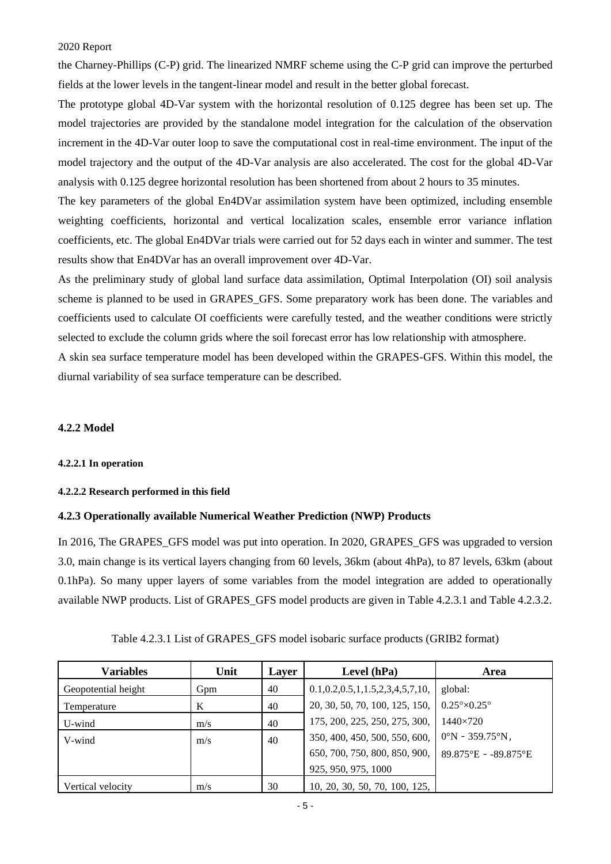the Charney-Phillips (C-P) grid. The linearized NMRF scheme using the C-P grid can improve the perturbed fields at the lower levels in the tangent-linear model and result in the better global forecast.

The prototype global 4D-Var system with the horizontal resolution of 0.125 degree has been set up. The model trajectories are provided by the standalone model integration for the calculation of the observation increment in the 4D-Var outer loop to save the computational cost in real-time environment. The input of the model trajectory and the output of the 4D-Var analysis are also accelerated. The cost for the global 4D-Var analysis with 0.125 degree horizontal resolution has been shortened from about 2 hours to 35 minutes.

The key parameters of the global En4DVar assimilation system have been optimized, including ensemble weighting coefficients, horizontal and vertical localization scales, ensemble error variance inflation coefficients, etc. The global En4DVar trials were carried out for 52 days each in winter and summer. The test results show that En4DVar has an overall improvement over 4D-Var.

As the preliminary study of global land surface data assimilation, Optimal Interpolation (OI) soil analysis scheme is planned to be used in GRAPES\_GFS. Some preparatory work has been done. The variables and coefficients used to calculate OI coefficients were carefully tested, and the weather conditions were strictly selected to exclude the column grids where the soil forecast error has low relationship with atmosphere.

A skin sea surface temperature model has been developed within the GRAPES-GFS. Within this model, the diurnal variability of sea surface temperature can be described.

#### <span id="page-8-0"></span>**4.2.2 Model**

#### <span id="page-8-1"></span>**4.2.2.1 In operation**

### <span id="page-8-2"></span>**4.2.2.2 Research performed in this field**

#### <span id="page-8-3"></span>**4.2.3 Operationally available Numerical Weather Prediction (NWP) Products**

In 2016, The GRAPES GFS model was put into operation. In 2020, GRAPES GFS was upgraded to version 3.0, main change is its vertical layers changing from 60 levels, 36km (about 4hPa), to 87 levels, 63km (about 0.1hPa). So many upper layers of some variables from the model integration are added to operationally available NWP products. List of GRAPES\_GFS model products are given in Table 4.2.3.1 and Table 4.2.3.2.

| <b>Variables</b>    | Unit | Layer | Level (hPa)                                 | Area                               |
|---------------------|------|-------|---------------------------------------------|------------------------------------|
| Geopotential height | Gpm  | 40    | $0.1, 0.2, 0.5, 1, 1.5, 2, 3, 4, 5, 7, 10,$ | global:                            |
| Temperature         | K    | 40    | 20, 30, 50, 70, 100, 125, 150,              | $0.25^{\circ} \times 0.25^{\circ}$ |
| U-wind              | m/s  | 40    | 175, 200, 225, 250, 275, 300,               | 1440×720                           |
| V-wind              | m/s  | 40    | 350, 400, 450, 500, 550, 600,               | $0^{\circ}N - 359.75^{\circ}N$ ,   |
|                     |      |       | 650, 700, 750, 800, 850, 900,               | 89.875°E - -89.875°E               |
|                     |      |       | 925, 950, 975, 1000                         |                                    |
| Vertical velocity   | m/s  | 30    | 10, 20, 30, 50, 70, 100, 125,               |                                    |

| Table 4.2.3.1 List of GRAPES_GFS model isobaric surface products (GRIB2 format) |  |  |  |
|---------------------------------------------------------------------------------|--|--|--|
|---------------------------------------------------------------------------------|--|--|--|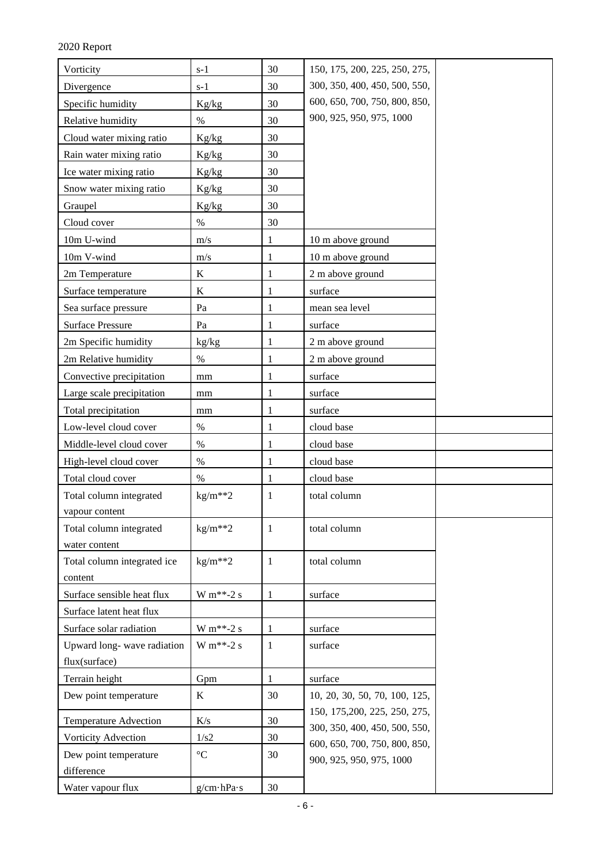| Vorticity                    | $s-1$           | 30           | 150, 175, 200, 225, 250, 275,                                  |  |
|------------------------------|-----------------|--------------|----------------------------------------------------------------|--|
| Divergence                   | $s-1$           | 30           | 300, 350, 400, 450, 500, 550,                                  |  |
| Specific humidity            | Kg/kg           | 30           | 600, 650, 700, 750, 800, 850,                                  |  |
| Relative humidity            | $\%$            | 30           | 900, 925, 950, 975, 1000                                       |  |
| Cloud water mixing ratio     | Kg/kg           | 30           |                                                                |  |
| Rain water mixing ratio      | Kg/kg           | 30           |                                                                |  |
| Ice water mixing ratio       | Kg/kg           | 30           |                                                                |  |
| Snow water mixing ratio      | Kg/kg           | 30           |                                                                |  |
| Graupel                      | Kg/kg           | 30           |                                                                |  |
| Cloud cover                  | $\%$            | 30           |                                                                |  |
| 10m U-wind                   | m/s             | 1            | 10 m above ground                                              |  |
| 10m V-wind                   | m/s             | 1            | 10 m above ground                                              |  |
| 2m Temperature               | $\bf K$         | 1            | 2 m above ground                                               |  |
| Surface temperature          | $\bf K$         | 1            | surface                                                        |  |
| Sea surface pressure         | Pa              | 1            | mean sea level                                                 |  |
| <b>Surface Pressure</b>      | Pa              | 1            | surface                                                        |  |
| 2m Specific humidity         | kg/kg           | 1            | 2 m above ground                                               |  |
| 2m Relative humidity         | $\%$            | 1            | 2 m above ground                                               |  |
| Convective precipitation     | mm              | 1            | surface                                                        |  |
| Large scale precipitation    | mm              | 1            | surface                                                        |  |
| Total precipitation          | mm              | 1            | surface                                                        |  |
| Low-level cloud cover        | $\%$            | 1            | cloud base                                                     |  |
| Middle-level cloud cover     | $\%$            | 1            | cloud base                                                     |  |
| High-level cloud cover       | $\%$            | 1            | cloud base                                                     |  |
| Total cloud cover            | $\%$            | $\mathbf{1}$ | cloud base                                                     |  |
| Total column integrated      | $kg/m**2$       | 1            | total column                                                   |  |
| vapour content               |                 |              |                                                                |  |
| Total column integrated      | $kg/m**2$       | 1            | total column                                                   |  |
| water content                |                 |              |                                                                |  |
| Total column integrated ice  | $kg/m**2$       | 1            | total column                                                   |  |
| content                      |                 |              |                                                                |  |
| Surface sensible heat flux   | $W m^{**-2} s$  | $\mathbf{1}$ | surface                                                        |  |
| Surface latent heat flux     |                 |              |                                                                |  |
| Surface solar radiation      | $W m^{**-2} s$  | $\mathbf{1}$ | surface                                                        |  |
| Upward long-wave radiation   | $W m^{**-2} s$  | 1            | surface                                                        |  |
| flux(surface)                |                 |              |                                                                |  |
| Terrain height               | Gpm             | 1            | surface                                                        |  |
| Dew point temperature        | $\bf K$         | 30           | 10, 20, 30, 50, 70, 100, 125,                                  |  |
| <b>Temperature Advection</b> | K/s             | 30           | 150, 175, 200, 225, 250, 275,<br>300, 350, 400, 450, 500, 550, |  |
| Vorticity Advection          | 1/s2            | 30           | 600, 650, 700, 750, 800, 850,                                  |  |
| Dew point temperature        | $\rm ^{\circ}C$ | 30           | 900, 925, 950, 975, 1000                                       |  |
| difference                   |                 |              |                                                                |  |
| Water vapour flux            | g/cm·hPa·s      | 30           |                                                                |  |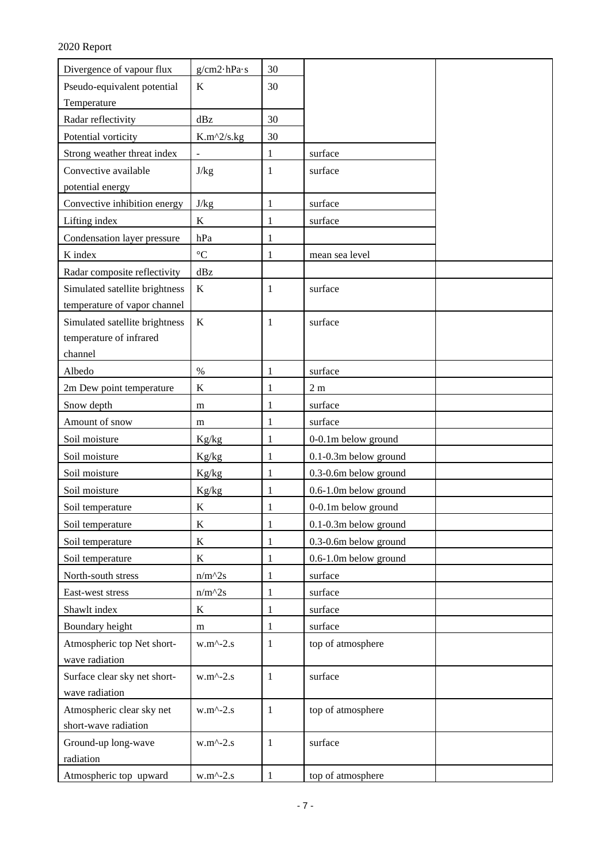| Divergence of vapour flux      | $g/cm2 \cdot hPa \cdot s$ | 30           |                              |  |
|--------------------------------|---------------------------|--------------|------------------------------|--|
| Pseudo-equivalent potential    | K                         | 30           |                              |  |
| Temperature                    |                           |              |                              |  |
| Radar reflectivity             | dBz                       | 30           |                              |  |
| Potential vorticity            | $K.m^2/s.kg$              | 30           |                              |  |
| Strong weather threat index    |                           | $\mathbf{1}$ | surface                      |  |
| Convective available           | J/kg                      | 1            | surface                      |  |
| potential energy               |                           |              |                              |  |
| Convective inhibition energy   | J/kg                      | $\mathbf{1}$ | surface                      |  |
| Lifting index                  | $\bf K$                   | 1            | surface                      |  |
| Condensation layer pressure    | hPa                       | 1            |                              |  |
| K index                        | $\rm ^{\circ}C$           | 1            | mean sea level               |  |
| Radar composite reflectivity   | dBz                       |              |                              |  |
| Simulated satellite brightness | $\bf K$                   | $\mathbf{1}$ | surface                      |  |
| temperature of vapor channel   |                           |              |                              |  |
| Simulated satellite brightness | $\bf K$                   | 1            | surface                      |  |
| temperature of infrared        |                           |              |                              |  |
| channel                        |                           |              |                              |  |
| Albedo                         | $\%$                      | $\mathbf{1}$ | surface                      |  |
| 2m Dew point temperature       | $\bf K$                   | 1            | 2 <sub>m</sub>               |  |
| Snow depth                     | m                         | $\mathbf{1}$ | surface                      |  |
| Amount of snow                 | m                         | $\mathbf{1}$ | surface                      |  |
| Soil moisture                  | Kg/kg                     | $\mathbf{1}$ | 0-0.1m below ground          |  |
| Soil moisture                  | Kg/kg                     | $\mathbf{1}$ | $0.1$ - $0.3$ m below ground |  |
| Soil moisture                  | Kg/kg                     | 1            | 0.3-0.6m below ground        |  |
| Soil moisture                  | Kg/kg                     | 1            | 0.6-1.0m below ground        |  |
| Soil temperature               | $\bf K$                   | 1            | 0-0.1m below ground          |  |
| Soil temperature               | $\rm K$                   | $\mathbf{1}$ | 0.1-0.3m below ground        |  |
| Soil temperature               | $\bf K$                   | 1            | 0.3-0.6m below ground        |  |
| Soil temperature               | $\mathbf K$               | 1            | 0.6-1.0m below ground        |  |
| North-south stress             | $n/m^2s$                  | 1            | surface                      |  |
| East-west stress               | $n/m^2s$                  | 1            | surface                      |  |
| Shawlt index                   | $\rm K$                   | 1            | surface                      |  |
| Boundary height                | m                         | 1            | surface                      |  |
| Atmospheric top Net short-     | $w.m^2-2.s$               | 1            | top of atmosphere            |  |
| wave radiation                 |                           |              |                              |  |
| Surface clear sky net short-   | $w.m^2-2.s$               | $\mathbf{1}$ | surface                      |  |
| wave radiation                 |                           |              |                              |  |
| Atmospheric clear sky net      | $w.m^2-2.s$               | 1            | top of atmosphere            |  |
| short-wave radiation           |                           |              |                              |  |
| Ground-up long-wave            | $w.m^2-2.s$               | 1            | surface                      |  |
| radiation                      |                           |              |                              |  |
| Atmospheric top upward         | $w.m^2-2.s$               | 1            | top of atmosphere            |  |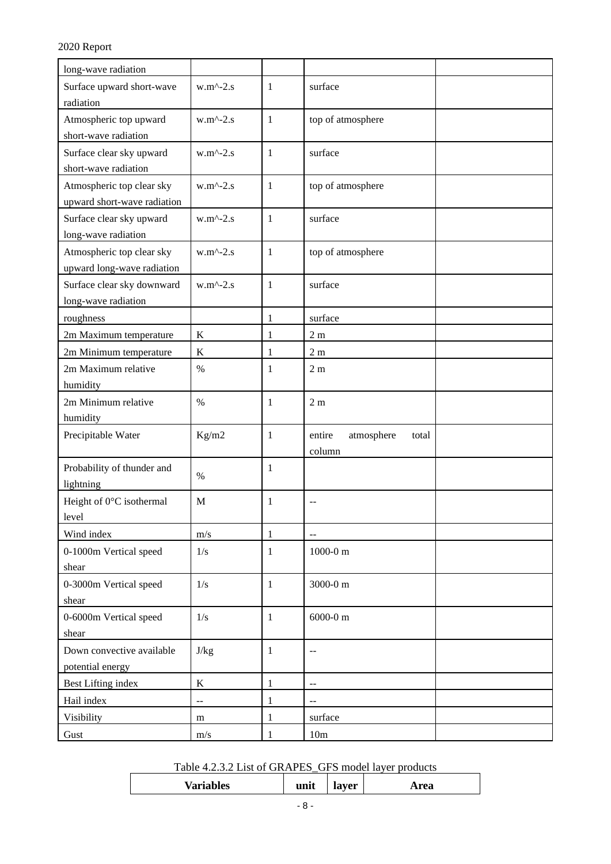| long-wave radiation         |                     |              |                               |  |  |  |
|-----------------------------|---------------------|--------------|-------------------------------|--|--|--|
| Surface upward short-wave   | $w.m^2-2.s$         | $\mathbf{1}$ | surface                       |  |  |  |
| radiation                   |                     |              |                               |  |  |  |
| Atmospheric top upward      | $w.m^2-2.s$         | $\mathbf{1}$ | top of atmosphere             |  |  |  |
| short-wave radiation        |                     |              |                               |  |  |  |
| Surface clear sky upward    | $w.m^{\wedge}-2.s$  | $\mathbf{1}$ | surface                       |  |  |  |
| short-wave radiation        |                     |              |                               |  |  |  |
| Atmospheric top clear sky   | $w.m^{\wedge}-2.s$  | $\mathbf{1}$ | top of atmosphere             |  |  |  |
| upward short-wave radiation |                     |              |                               |  |  |  |
| Surface clear sky upward    | $w.m^2-2.s$         | $\mathbf{1}$ | surface                       |  |  |  |
| long-wave radiation         |                     |              |                               |  |  |  |
| Atmospheric top clear sky   | $w.m^{\wedge}$ -2.s | $\mathbf{1}$ | top of atmosphere             |  |  |  |
| upward long-wave radiation  |                     |              |                               |  |  |  |
| Surface clear sky downward  | $w.m^2-2.s$         | $\mathbf{1}$ | surface                       |  |  |  |
| long-wave radiation         |                     |              |                               |  |  |  |
| roughness                   |                     | 1            | surface                       |  |  |  |
| 2m Maximum temperature      | $\bf K$             | 1            | $2\ {\rm m}$                  |  |  |  |
| 2m Minimum temperature      | $\bf K$             | $\mathbf{1}$ | 2 <sub>m</sub>                |  |  |  |
| 2m Maximum relative         | $\%$                | 1            | 2 <sub>m</sub>                |  |  |  |
| humidity                    |                     |              |                               |  |  |  |
| 2m Minimum relative         | $\%$                | 1            | 2m                            |  |  |  |
| humidity                    |                     |              |                               |  |  |  |
| Precipitable Water          | Kg/m2               | $\mathbf{1}$ | atmosphere<br>entire<br>total |  |  |  |
|                             |                     |              | column                        |  |  |  |
| Probability of thunder and  | $\%$                | 1            |                               |  |  |  |
| lightning                   |                     |              |                               |  |  |  |
| Height of 0°C isothermal    | $\mathbf{M}$        | 1            | $-$                           |  |  |  |
| level                       |                     |              |                               |  |  |  |
| Wind index                  | m/s                 | $\mathbf{1}$ |                               |  |  |  |
| 0-1000m Vertical speed      | 1/s                 | 1            | $1000 - 0$ m                  |  |  |  |
| shear                       |                     |              |                               |  |  |  |
| 0-3000m Vertical speed      | 1/s                 | $\mathbf{1}$ | 3000-0 m                      |  |  |  |
| shear                       |                     |              |                               |  |  |  |
| 0-6000m Vertical speed      | 1/s                 | $\mathbf{1}$ | $6000-0$ m                    |  |  |  |
| shear                       |                     |              |                               |  |  |  |
| Down convective available   | J/kg                | $\mathbf{1}$ | $\overline{a}$                |  |  |  |
| potential energy            |                     |              |                               |  |  |  |
| Best Lifting index          | $\bf K$             | 1            | $\overline{a}$                |  |  |  |
| Hail index                  | --                  | 1            |                               |  |  |  |
| Visibility                  | m                   | $\mathbf{1}$ | surface                       |  |  |  |
| Gust                        | m/s                 | 1            | 10m                           |  |  |  |

## Table 4.2.3.2 List of GRAPES\_GFS model layer products

|--|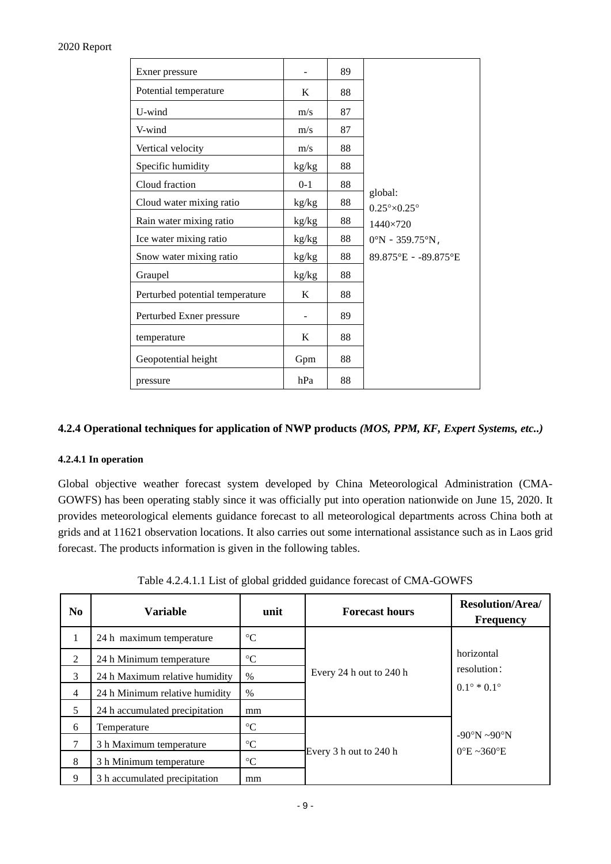| Exner pressure                  |       | 89 |                                               |
|---------------------------------|-------|----|-----------------------------------------------|
| Potential temperature           | K     | 88 |                                               |
| U-wind                          | m/s   | 87 |                                               |
| V-wind                          | m/s   | 87 |                                               |
| Vertical velocity               | m/s   | 88 |                                               |
| Specific humidity               | kg/kg | 88 |                                               |
| Cloud fraction                  | $0-1$ | 88 |                                               |
| Cloud water mixing ratio        | kg/kg | 88 | global:<br>$0.25^{\circ} \times 0.25^{\circ}$ |
| Rain water mixing ratio         | kg/kg | 88 | 1440×720                                      |
| Ice water mixing ratio          | kg/kg | 88 | $0^{\circ}$ N - 359.75 $^{\circ}$ N,          |
| Snow water mixing ratio         | kg/kg | 88 | 89.875°E - -89.875°E                          |
| Graupel                         | kg/kg | 88 |                                               |
| Perturbed potential temperature | K     | 88 |                                               |
| Perturbed Exner pressure        |       | 89 |                                               |
| temperature                     | K     | 88 |                                               |
| Geopotential height             | Gpm   | 88 |                                               |
| pressure                        | hPa   | 88 |                                               |

## <span id="page-12-0"></span>**4.2.4 Operational techniques for application of NWP products** *(MOS, PPM, KF, Expert Systems, etc..)*

### <span id="page-12-1"></span>**4.2.4.1 In operation**

Global objective weather forecast system developed by China Meteorological Administration (CMA-GOWFS) has been operating stably since it was officially put into operation nationwide on June 15, 2020. It provides meteorological elements guidance forecast to all meteorological departments across China both at grids and at 11621 observation locations. It also carries out some international assistance such as in Laos grid forecast. The products information is given in the following tables.

| N <sub>0</sub> | <b>Variable</b>                | unit            | <b>Forecast hours</b>   | <b>Resolution/Area/</b><br><b>Frequency</b>                       |  |
|----------------|--------------------------------|-----------------|-------------------------|-------------------------------------------------------------------|--|
| 1              | 24 h maximum temperature       | $\rm ^{\circ}C$ |                         |                                                                   |  |
| 2              | 24 h Minimum temperature       | $\rm ^{\circ}C$ |                         | horizontal                                                        |  |
| 3              | 24 h Maximum relative humidity | $\%$            | Every 24 h out to 240 h | resolution:<br>$0.1^{\circ} * 0.1^{\circ}$                        |  |
| 4              | 24 h Minimum relative humidity | $\%$            |                         |                                                                   |  |
| 5              | 24 h accumulated precipitation | mm              |                         |                                                                   |  |
| 6              | Temperature                    | $\rm ^{\circ}C$ |                         | $-90^{\circ}N \sim 90^{\circ}N$<br>$0^{\circ}E \sim 360^{\circ}E$ |  |
|                | 3 h Maximum temperature        | $\rm ^{\circ}C$ | Every 3 h out to 240 h  |                                                                   |  |
| 8              | 3 h Minimum temperature        | $\rm ^{\circ}C$ |                         |                                                                   |  |
| 9              | 3 h accumulated precipitation  | mm              |                         |                                                                   |  |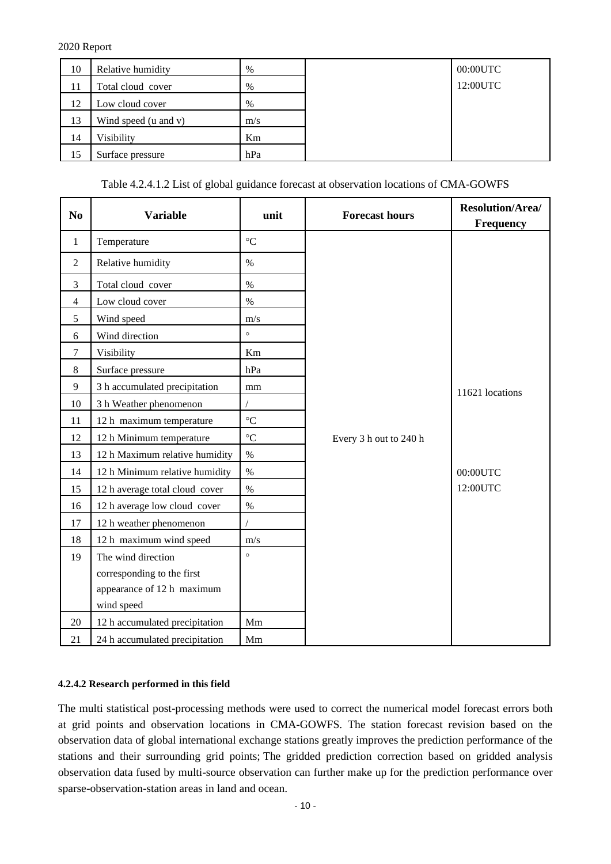| 10 | Relative humidity    | $\%$ |  |
|----|----------------------|------|--|
| 11 | Total cloud cover    | $\%$ |  |
| 12 | Low cloud cover      | $\%$ |  |
| 13 | Wind speed (u and v) | m/s  |  |
| 14 | Visibility           | Km   |  |
|    | Surface pressure     | hPa  |  |

### Table 4.2.4.1.2 List of global guidance forecast at observation locations of CMA-GOWFS

| N <sub>0</sub> | <b>Variable</b>                | unit            | <b>Forecast hours</b>  | <b>Resolution/Area/</b><br>Frequency |
|----------------|--------------------------------|-----------------|------------------------|--------------------------------------|
| $\mathbf{1}$   | Temperature                    | $\rm ^{\circ}C$ |                        |                                      |
| $\overline{2}$ | Relative humidity              | $\%$            |                        |                                      |
| 3              | Total cloud cover              | $\%$            |                        |                                      |
| $\overline{4}$ | Low cloud cover                | $\%$            |                        |                                      |
| 5              | Wind speed                     | m/s             |                        |                                      |
| 6              | Wind direction                 | $\circ$         |                        |                                      |
| $\tau$         | Visibility                     | Km              |                        |                                      |
| 8              | Surface pressure               | hPa             |                        |                                      |
| 9              | 3 h accumulated precipitation  | mm              |                        | 11621 locations                      |
| 10             | 3 h Weather phenomenon         |                 |                        |                                      |
| 11             | 12 h maximum temperature       | $\rm ^{\circ}C$ |                        |                                      |
| 12             | 12 h Minimum temperature       | $\rm ^{\circ}C$ | Every 3 h out to 240 h |                                      |
| 13             | 12 h Maximum relative humidity | $\%$            |                        |                                      |
| 14             | 12 h Minimum relative humidity | $\%$            |                        | $00:00$ UTC                          |
| 15             | 12 h average total cloud cover | $\%$            |                        | 12:00UTC                             |
| 16             | 12 h average low cloud cover   | $\%$            |                        |                                      |
| 17             | 12 h weather phenomenon        |                 |                        |                                      |
| 18             | 12 h maximum wind speed        | m/s             |                        |                                      |
| 19             | The wind direction             | $\circ$         |                        |                                      |
|                | corresponding to the first     |                 |                        |                                      |
|                | appearance of 12 h maximum     |                 |                        |                                      |
|                | wind speed                     |                 |                        |                                      |
| 20             | 12 h accumulated precipitation | Mm              |                        |                                      |
| 21             | 24 h accumulated precipitation | Mm              |                        |                                      |

### <span id="page-13-0"></span>**4.2.4.2 Research performed in this field**

The multi statistical post-processing methods were used to correct the numerical model forecast errors both at grid points and observation locations in CMA-GOWFS. The station forecast revision based on the observation data of global international exchange stations greatly improves the prediction performance of the stations and their surrounding grid points; The gridded prediction correction based on gridded analysis observation data fused by multi-source observation can further make up for the prediction performance over sparse-observation-station areas in land and ocean.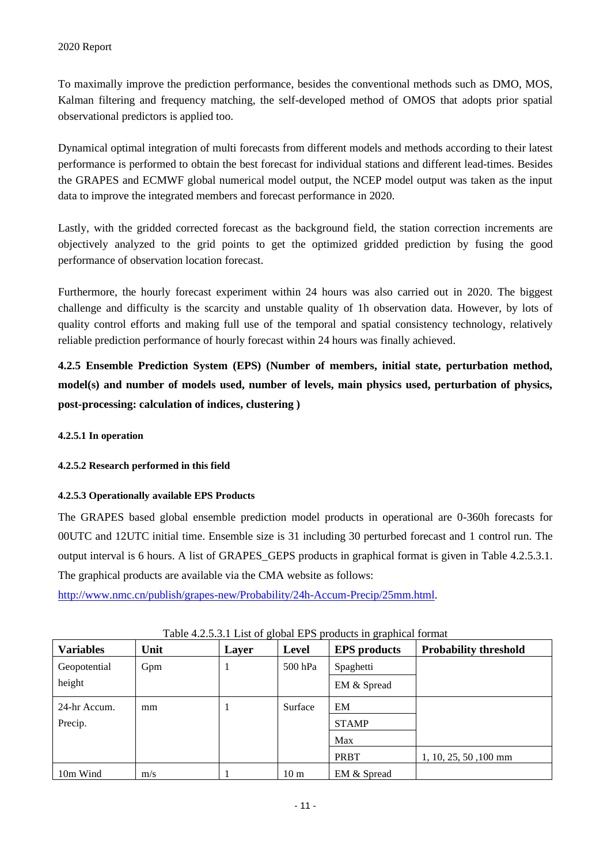To maximally improve the prediction performance, besides the conventional methods such as DMO, MOS, Kalman filtering and frequency matching, the self-developed method of OMOS that adopts prior spatial observational predictors is applied too.

Dynamical optimal integration of multi forecasts from different models and methods according to their latest performance is performed to obtain the best forecast for individual stations and different lead-times. Besides the GRAPES and ECMWF global numerical model output, the NCEP model output was taken as the input data to improve the integrated members and forecast performance in 2020.

Lastly, with the gridded corrected forecast as the background field, the station correction increments are objectively analyzed to the grid points to get the optimized gridded prediction by fusing the good performance of observation location forecast.

Furthermore, the hourly forecast experiment within 24 hours was also carried out in 2020. The biggest challenge and difficulty is the scarcity and unstable quality of 1h observation data. However, by lots of quality control efforts and making full use of the temporal and spatial consistency technology, relatively reliable prediction performance of hourly forecast within 24 hours was finally achieved.

<span id="page-14-0"></span>**4.2.5 Ensemble Prediction System (EPS) (Number of members, initial state, perturbation method, model(s) and number of models used, number of levels, main physics used, perturbation of physics, post-processing: calculation of indices, clustering )**

## <span id="page-14-1"></span>**4.2.5.1 In operation**

## <span id="page-14-2"></span>**4.2.5.2 Research performed in this field**

## <span id="page-14-3"></span>**4.2.5.3 Operationally available EPS Products**

The GRAPES based global ensemble prediction model products in operational are 0-360h forecasts for 00UTC and 12UTC initial time. Ensemble size is 31 including 30 perturbed forecast and 1 control run. The output interval is 6 hours. A list of GRAPES\_GEPS products in graphical format is given in Table 4.2.5.3.1. The graphical products are available via the CMA website as follows:

[http://www.nmc.cn/publish/grapes-new/Probability/24h-Accum-Precip/25mm.html.](http://www.nmc.cn/publish/grapes-new/Probability/24h-Accum-Precip/25mm.html)

| <b>Variables</b> | Unit | Layer | <b>Level</b>         | <b>EPS</b> products | <b>Probability threshold</b>    |
|------------------|------|-------|----------------------|---------------------|---------------------------------|
| Geopotential     | Gpm  |       | 500 hPa<br>Spaghetti |                     |                                 |
| height           |      |       |                      | EM & Spread         |                                 |
| 24-hr Accum.     | mm   |       | Surface              | EM                  |                                 |
| Precip.          |      |       |                      | <b>STAMP</b>        |                                 |
|                  |      |       |                      | Max                 |                                 |
|                  |      |       |                      | <b>PRBT</b>         | $1, 10, 25, 50, 100 \text{ mm}$ |
| 10m Wind         | m/s  |       | 10 <sub>m</sub>      | EM & Spread         |                                 |

Table 4.2.5.3.1 List of global EPS products in graphical format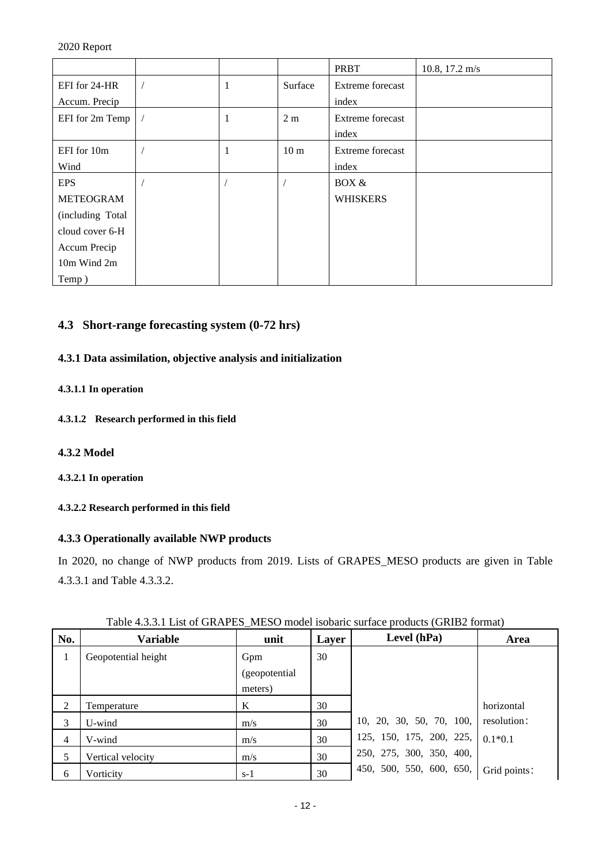|                   |   |                 | PRBT                    | $10.8$ , $17.2 \text{ m/s}$ |
|-------------------|---|-----------------|-------------------------|-----------------------------|
| EFI for 24-HR     | 1 | Surface         | <b>Extreme</b> forecast |                             |
| Accum. Precip     |   |                 | index                   |                             |
| EFI for 2m Temp   | 1 | 2 <sub>m</sub>  | Extreme forecast        |                             |
|                   |   |                 | index                   |                             |
| EFI for 10m       | 1 | 10 <sub>m</sub> | Extreme forecast        |                             |
| Wind              |   |                 | index                   |                             |
| <b>EPS</b>        |   |                 | BOX &                   |                             |
| <b>METEOGRAM</b>  |   |                 | <b>WHISKERS</b>         |                             |
| (including Total) |   |                 |                         |                             |
| cloud cover 6-H   |   |                 |                         |                             |
| Accum Precip      |   |                 |                         |                             |
| 10m Wind 2m       |   |                 |                         |                             |
| Temp)             |   |                 |                         |                             |

## <span id="page-15-0"></span>**4.3 Short-range forecasting system (0-72 hrs)**

## <span id="page-15-1"></span>**4.3.1 Data assimilation, objective analysis and initialization**

### <span id="page-15-2"></span>**4.3.1.1 In operation**

### <span id="page-15-3"></span>**4.3.1.2 Research performed in this field**

### <span id="page-15-4"></span>**4.3.2 Model**

### <span id="page-15-5"></span>**4.3.2.1 In operation**

### <span id="page-15-6"></span>**4.3.2.2 Research performed in this field**

## <span id="page-15-7"></span>**4.3.3 Operationally available NWP products**

In 2020, no change of NWP products from 2019. Lists of GRAPES\_MESO products are given in Table 4.3.3.1 and Table 4.3.3.2.

| No.            | <b>Variable</b>     | unit                            | Layer | Level (hPa)              | Area         |
|----------------|---------------------|---------------------------------|-------|--------------------------|--------------|
| 1              | Geopotential height | Gpm<br>(geopotential<br>meters) | 30    |                          |              |
| 2              | Temperature         | K                               | 30    |                          | horizontal   |
| 3              | U-wind              | m/s                             | 30    | 10, 20, 30, 50, 70, 100, | resolution:  |
| $\overline{4}$ | V-wind              | m/s                             | 30    | 125, 150, 175, 200, 225, | $0.1*0.1$    |
| 5              | Vertical velocity   | m/s                             | 30    | 250, 275, 300, 350, 400, |              |
| 6              | Vorticity           | $s-1$                           | 30    | 450, 500, 550, 600, 650, | Grid points: |

## Table 4.3.3.1 List of GRAPES\_MESO model isobaric surface products (GRIB2 format)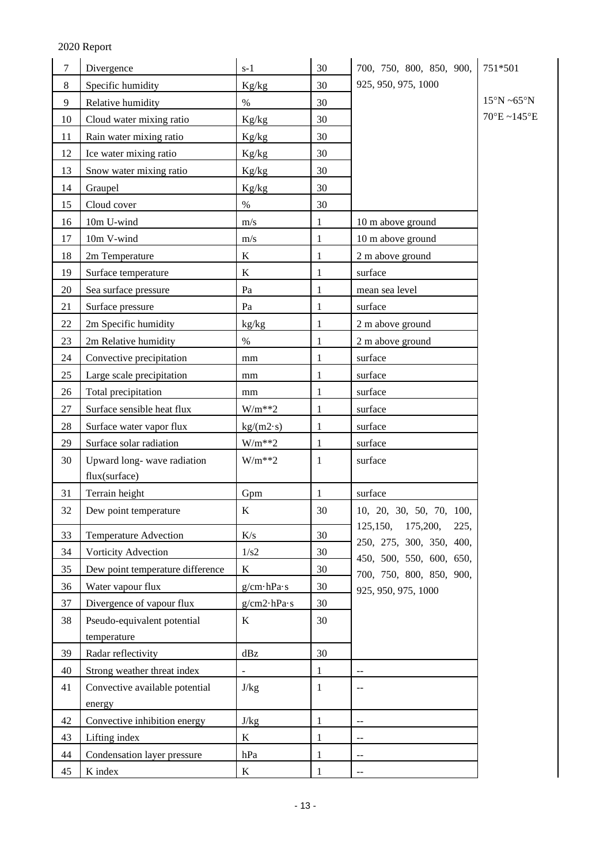| $\overline{7}$ | Divergence                       | $s-1$                     | 30          | 700, 750, 800, 850, 900,                             | 751*501               |
|----------------|----------------------------------|---------------------------|-------------|------------------------------------------------------|-----------------------|
| $\,8\,$        | Specific humidity                | Kg/kg                     | 30          | 925, 950, 975, 1000                                  |                       |
| 9              | Relative humidity                | $\%$                      | 30          |                                                      | $15^{\circ}$ N ~65°N  |
| 10             | Cloud water mixing ratio         | Kg/kg                     | 30          |                                                      | $70^{\circ}$ E ~145°E |
| 11             | Rain water mixing ratio          | Kg/kg                     | 30          |                                                      |                       |
| 12             | Ice water mixing ratio           | Kg/kg                     | 30          |                                                      |                       |
| 13             | Snow water mixing ratio          | Kg/kg                     | 30          |                                                      |                       |
| 14             | Graupel                          | Kg/kg                     | 30          |                                                      |                       |
| 15             | Cloud cover                      | $\%$                      | 30          |                                                      |                       |
| 16             | 10m U-wind                       | m/s                       | 1           | 10 m above ground                                    |                       |
| 17             | 10m V-wind                       | m/s                       | 1           | 10 m above ground                                    |                       |
| 18             | 2m Temperature                   | $\bf K$                   | 1           | 2 m above ground                                     |                       |
| 19             | Surface temperature              | $\bf K$                   | 1           | surface                                              |                       |
| 20             | Sea surface pressure             | Pa                        | 1           | mean sea level                                       |                       |
| 21             | Surface pressure                 | Pa                        | 1           | surface                                              |                       |
| 22             | 2m Specific humidity             | kg/kg                     | 1           | 2 m above ground                                     |                       |
| 23             | 2m Relative humidity             | $\%$                      | 1           | 2 m above ground                                     |                       |
| 24             | Convective precipitation         | mm                        | 1           | surface                                              |                       |
| 25             | Large scale precipitation        | mm                        | 1           | surface                                              |                       |
| 26             | Total precipitation              | mm                        | 1           | surface                                              |                       |
| 27             | Surface sensible heat flux       | $W/m**2$                  | 1           | surface                                              |                       |
| 28             | Surface water vapor flux         | $kg/(m2 \cdot s)$         | 1           | surface                                              |                       |
| 29             | Surface solar radiation          | $W/m**2$                  | 1           | surface                                              |                       |
| 30             | Upward long-wave radiation       | $W/m**2$                  | $\mathbf 1$ | surface                                              |                       |
|                | flux(surface)                    |                           |             |                                                      |                       |
| 31             | Terrain height                   | Gpm                       | 1           | surface                                              |                       |
| 32             | Dew point temperature            | $\bf K$                   | 30          | 10, 20, 30, 50, 70, 100,                             |                       |
| 33             | <b>Temperature Advection</b>     | K/s                       | 30          | 125,150,<br>175,200,<br>225,                         |                       |
| 34             | Vorticity Advection              | $1/s2$                    | 30          | 250, 275, 300, 350, 400,<br>450, 500, 550, 600, 650, |                       |
| 35             | Dew point temperature difference | $\bf K$                   | 30          | 700, 750, 800, 850, 900,                             |                       |
| 36             | Water vapour flux                | g/cm·hPa·s                | 30          | 925, 950, 975, 1000                                  |                       |
| 37             | Divergence of vapour flux        | $g/cm2 \cdot hPa \cdot s$ | 30          |                                                      |                       |
| 38             | Pseudo-equivalent potential      | $\bf K$                   | 30          |                                                      |                       |
|                | temperature                      |                           |             |                                                      |                       |
| 39             | Radar reflectivity               | dBz                       | 30          |                                                      |                       |
| 40             | Strong weather threat index      |                           | 1           |                                                      |                       |
| 41             | Convective available potential   | J/kg                      | 1           | $-$                                                  |                       |
|                | energy                           |                           |             |                                                      |                       |
| 42             | Convective inhibition energy     | J/kg                      | $\mathbf 1$ | $-$                                                  |                       |
| 43             | Lifting index                    | $\bf K$                   | 1           | $-$                                                  |                       |
| 44             | Condensation layer pressure      | hPa                       | 1           | $-$                                                  |                       |
| 45             | K index                          | $\bf K$                   | 1           | $\mathord{\hspace{1pt}\text{--}\hspace{1pt}}$        |                       |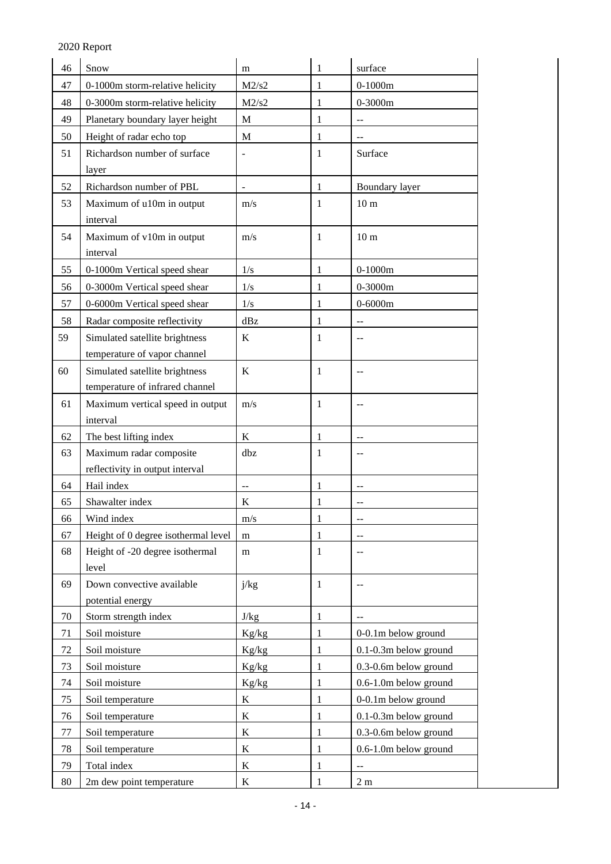| 46 | Snow                                | m            | 1                 | surface               |
|----|-------------------------------------|--------------|-------------------|-----------------------|
| 47 | 0-1000m storm-relative helicity     | M2/s2        | 1                 | $0-1000m$             |
| 48 | 0-3000m storm-relative helicity     | M2/s2        | 1                 | $0-3000m$             |
| 49 | Planetary boundary layer height     | M            | 1                 |                       |
| 50 | Height of radar echo top            | M            | 1                 |                       |
| 51 | Richardson number of surface        |              | 1                 | Surface               |
|    | layer                               |              |                   |                       |
| 52 | Richardson number of PBL            |              | 1                 | Boundary layer        |
| 53 | Maximum of u10m in output           | m/s          | 1                 | 10 <sub>m</sub>       |
|    | interval                            |              |                   |                       |
| 54 | Maximum of v10m in output           | m/s          | $\mathbf{1}$      | 10 <sub>m</sub>       |
|    | interval                            |              |                   |                       |
| 55 | 0-1000m Vertical speed shear        | 1/s          | 1                 | $0-1000m$             |
| 56 | 0-3000m Vertical speed shear        | 1/s          | 1                 | $0-3000m$             |
| 57 | 0-6000m Vertical speed shear        | 1/s          | 1                 | $0 - 6000m$           |
| 58 | Radar composite reflectivity        | dBz          | 1                 |                       |
| 59 | Simulated satellite brightness      | K            | 1                 |                       |
|    | temperature of vapor channel        |              |                   |                       |
| 60 | Simulated satellite brightness      | K            | 1                 |                       |
|    | temperature of infrared channel     |              |                   |                       |
| 61 | Maximum vertical speed in output    | m/s          | 1                 | --                    |
|    | interval                            |              |                   |                       |
| 62 | The best lifting index              | $\bf K$      | $\mathbf{1}$      |                       |
| 63 | Maximum radar composite             | dbz          | 1                 | $-$                   |
|    | reflectivity in output interval     |              |                   |                       |
| 64 | Hail index                          |              | 1                 |                       |
| 65 | Shawalter index                     | $\bf K$      | 1                 |                       |
| 66 | Wind index                          | m/s          | $\mathbf{1}$      |                       |
| 67 | Height of 0 degree isothermal level | m            | 1                 |                       |
| 68 | Height of -20 degree isothermal     | m            | 1                 | $-$                   |
|    | level                               |              |                   |                       |
| 69 | Down convective available           | j/kg         | $\mathbf{1}$      |                       |
|    | potential energy                    |              |                   |                       |
| 70 | Storm strength index                | J/kg         | 1                 |                       |
| 71 | Soil moisture                       | Kg/kg        | 1                 | 0-0.1m below ground   |
| 72 | Soil moisture                       | Kg/kg        | 1                 | 0.1-0.3m below ground |
| 73 | Soil moisture                       | Kg/kg        | 1                 | 0.3-0.6m below ground |
| 74 | Soil moisture                       | Kg/kg        | 1                 | 0.6-1.0m below ground |
| 75 | Soil temperature                    | K            | 1                 | 0-0.1m below ground   |
| 76 | Soil temperature                    | K            | 1                 | 0.1-0.3m below ground |
| 77 | Soil temperature                    | $\bf K$      | 1                 | 0.3-0.6m below ground |
| 78 | Soil temperature                    | K            | 1                 | 0.6-1.0m below ground |
| 79 | Total index                         | K<br>$\bf K$ | 1<br>$\mathbf{1}$ |                       |
| 80 | 2m dew point temperature            |              |                   | 2 <sub>m</sub>        |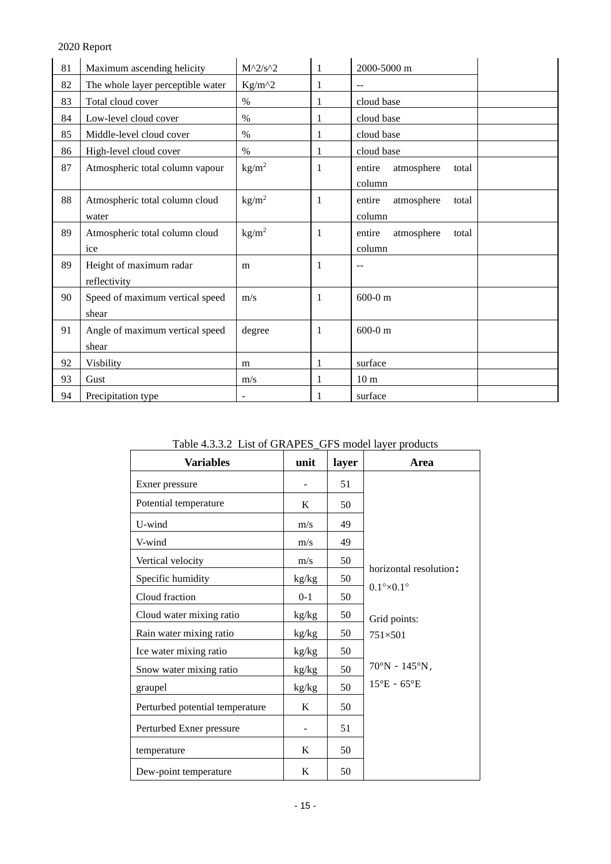| 81 | Maximum ascending helicity               | $M^2/s^2$         | 1            | 2000-5000 m                             |
|----|------------------------------------------|-------------------|--------------|-----------------------------------------|
| 82 | The whole layer perceptible water        | $Kg/m^2$          |              |                                         |
| 83 | Total cloud cover                        | $\%$              |              | cloud base                              |
| 84 | Low-level cloud cover                    | $\%$              |              | cloud base                              |
| 85 | Middle-level cloud cover                 | $\%$              | 1            | cloud base                              |
| 86 | High-level cloud cover                   | $\%$              | 1            | cloud base                              |
| 87 | Atmospheric total column vapour          | $\text{kg/m}^2$   | 1            | entire<br>atmosphere<br>total<br>column |
| 88 | Atmospheric total column cloud<br>water  | kg/m <sup>2</sup> | 1            | entire<br>atmosphere<br>total<br>column |
| 89 | Atmospheric total column cloud<br>ice    | kg/m <sup>2</sup> | $\mathbf{1}$ | entire<br>atmosphere<br>total<br>column |
| 89 | Height of maximum radar<br>reflectivity  | m                 | 1            | $-1$                                    |
| 90 | Speed of maximum vertical speed<br>shear | m/s               | 1            | $600-0$ m                               |
| 91 | Angle of maximum vertical speed<br>shear | degree            | 1            | $600-0$ m                               |
| 92 | Visbility                                | m                 | 1            | surface                                 |
| 93 | Gust                                     | m/s               | 1            | 10 <sub>m</sub>                         |
| 94 | Precipitation type                       |                   |              | surface                                 |

## Table 4.3.3.2 List of GRAPES\_GFS model layer products

| <b>Variables</b>                | unit  | layer | Area                             |
|---------------------------------|-------|-------|----------------------------------|
| Exner pressure                  |       | 51    |                                  |
| Potential temperature           | K     | 50    |                                  |
| U-wind                          | m/s   | 49    |                                  |
| V-wind                          | m/s   | 49    |                                  |
| Vertical velocity               | m/s   | 50    |                                  |
| Specific humidity               | kg/kg | 50    | horizontal resolution:           |
| Cloud fraction                  | $0-1$ | 50    | $0.1^{\circ} \times 0.1^{\circ}$ |
| Cloud water mixing ratio        | kg/kg | 50    | Grid points:                     |
| Rain water mixing ratio         | kg/kg | 50    | $751\times501$                   |
| Ice water mixing ratio          | kg/kg | 50    |                                  |
| Snow water mixing ratio         | kg/kg | 50    | $70^{\circ}N - 145^{\circ}N$ ,   |
| graupel                         | kg/kg | 50    | $15^{\circ}E - 65^{\circ}E$      |
| Perturbed potential temperature | K     | 50    |                                  |
| Perturbed Exner pressure        |       | 51    |                                  |
| temperature                     | K     | 50    |                                  |
| Dew-point temperature           | K     | 50    |                                  |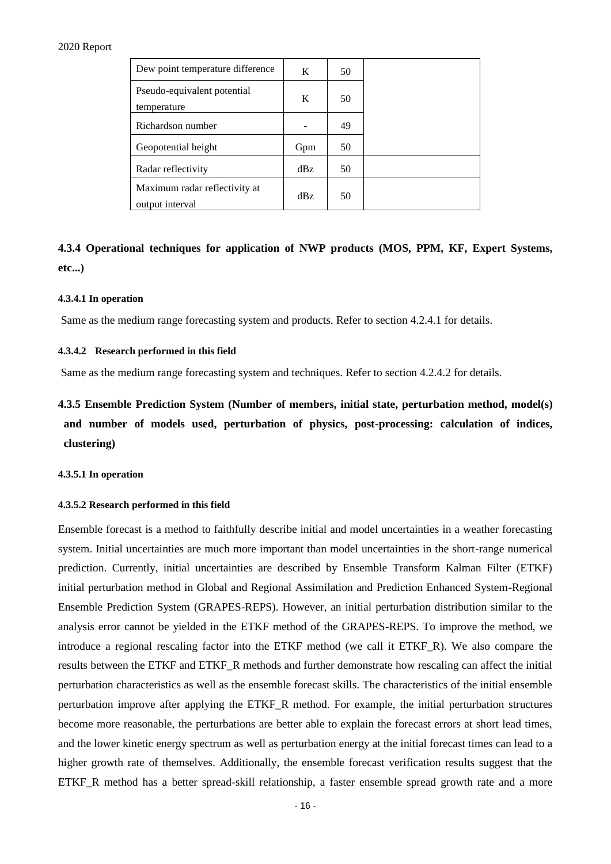| Dew point temperature difference                 | K   | 50 |
|--------------------------------------------------|-----|----|
| Pseudo-equivalent potential<br>temperature       | K   | 50 |
| Richardson number                                |     | 49 |
| Geopotential height                              | Gpm | 50 |
| Radar reflectivity                               | dBz | 50 |
| Maximum radar reflectivity at<br>output interval | dBz | 50 |

<span id="page-19-0"></span>**4.3.4 Operational techniques for application of NWP products (MOS, PPM, KF, Expert Systems, etc...)**

#### <span id="page-19-1"></span>**4.3.4.1 In operation**

Same as the medium range forecasting system and products. Refer to section 4.2.4.1 for details.

#### <span id="page-19-2"></span>**4.3.4.2 Research performed in this field**

Same as the medium range forecasting system and techniques. Refer to section 4.2.4.2 for details.

## <span id="page-19-3"></span>**4.3.5 Ensemble Prediction System (Number of members, initial state, perturbation method, model(s) and number of models used, perturbation of physics, post-processing: calculation of indices, clustering)**

#### <span id="page-19-4"></span>**4.3.5.1 In operation**

#### <span id="page-19-5"></span>**4.3.5.2 Research performed in this field**

Ensemble forecast is a method to faithfully describe initial and model uncertainties in a weather forecasting system. Initial uncertainties are much more important than model uncertainties in the short-range numerical prediction. Currently, initial uncertainties are described by Ensemble Transform Kalman Filter (ETKF) initial perturbation method in Global and Regional Assimilation and Prediction Enhanced System-Regional Ensemble Prediction System (GRAPES-REPS). However, an initial perturbation distribution similar to the analysis error cannot be yielded in the ETKF method of the GRAPES-REPS. To improve the method, we introduce a regional rescaling factor into the ETKF method (we call it ETKF\_R). We also compare the results between the ETKF and ETKF\_R methods and further demonstrate how rescaling can affect the initial perturbation characteristics as well as the ensemble forecast skills. The characteristics of the initial ensemble perturbation improve after applying the ETKF\_R method. For example, the initial perturbation structures become more reasonable, the perturbations are better able to explain the forecast errors at short lead times, and the lower kinetic energy spectrum as well as perturbation energy at the initial forecast times can lead to a higher growth rate of themselves. Additionally, the ensemble forecast verification results suggest that the ETKF\_R method has a better spread-skill relationship, a faster ensemble spread growth rate and a more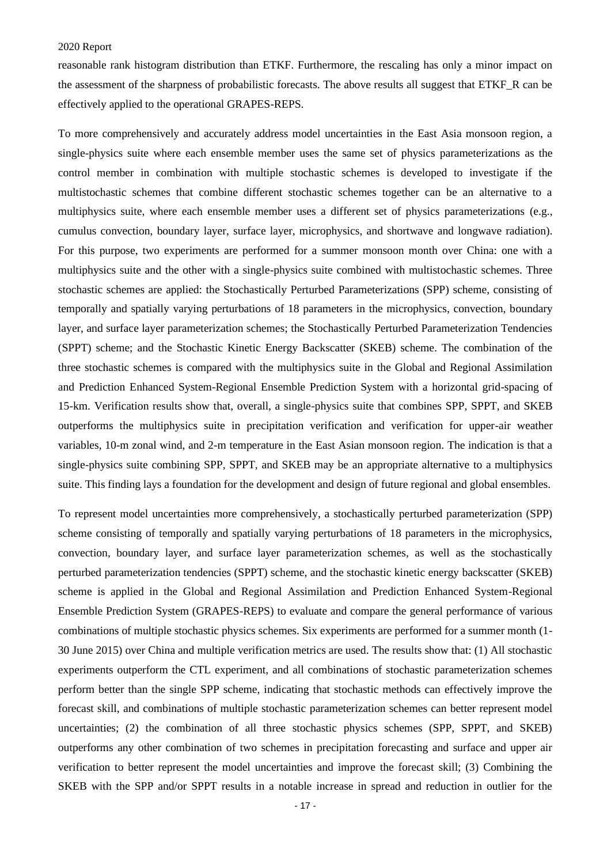reasonable rank histogram distribution than ETKF. Furthermore, the rescaling has only a minor impact on the assessment of the sharpness of probabilistic forecasts. The above results all suggest that ETKF\_R can be effectively applied to the operational GRAPES-REPS.

To more comprehensively and accurately address model uncertainties in the East Asia monsoon region, a single-physics suite where each ensemble member uses the same set of physics parameterizations as the control member in combination with multiple stochastic schemes is developed to investigate if the multistochastic schemes that combine different stochastic schemes together can be an alternative to a multiphysics suite, where each ensemble member uses a different set of physics parameterizations (e.g., cumulus convection, boundary layer, surface layer, microphysics, and shortwave and longwave radiation). For this purpose, two experiments are performed for a summer monsoon month over China: one with a multiphysics suite and the other with a single-physics suite combined with multistochastic schemes. Three stochastic schemes are applied: the Stochastically Perturbed Parameterizations (SPP) scheme, consisting of temporally and spatially varying perturbations of 18 parameters in the microphysics, convection, boundary layer, and surface layer parameterization schemes; the Stochastically Perturbed Parameterization Tendencies (SPPT) scheme; and the Stochastic Kinetic Energy Backscatter (SKEB) scheme. The combination of the three stochastic schemes is compared with the multiphysics suite in the Global and Regional Assimilation and Prediction Enhanced System-Regional Ensemble Prediction System with a horizontal grid-spacing of 15-km. Verification results show that, overall, a single-physics suite that combines SPP, SPPT, and SKEB outperforms the multiphysics suite in precipitation verification and verification for upper-air weather variables, 10-m zonal wind, and 2-m temperature in the East Asian monsoon region. The indication is that a single-physics suite combining SPP, SPPT, and SKEB may be an appropriate alternative to a multiphysics suite. This finding lays a foundation for the development and design of future regional and global ensembles.

To represent model uncertainties more comprehensively, a stochastically perturbed parameterization (SPP) scheme consisting of temporally and spatially varying perturbations of 18 parameters in the microphysics, convection, boundary layer, and surface layer parameterization schemes, as well as the stochastically perturbed parameterization tendencies (SPPT) scheme, and the stochastic kinetic energy backscatter (SKEB) scheme is applied in the Global and Regional Assimilation and Prediction Enhanced System-Regional Ensemble Prediction System (GRAPES-REPS) to evaluate and compare the general performance of various combinations of multiple stochastic physics schemes. Six experiments are performed for a summer month (1- 30 June 2015) over China and multiple verification metrics are used. The results show that: (1) All stochastic experiments outperform the CTL experiment, and all combinations of stochastic parameterization schemes perform better than the single SPP scheme, indicating that stochastic methods can effectively improve the forecast skill, and combinations of multiple stochastic parameterization schemes can better represent model uncertainties; (2) the combination of all three stochastic physics schemes (SPP, SPPT, and SKEB) outperforms any other combination of two schemes in precipitation forecasting and surface and upper air verification to better represent the model uncertainties and improve the forecast skill; (3) Combining the SKEB with the SPP and/or SPPT results in a notable increase in spread and reduction in outlier for the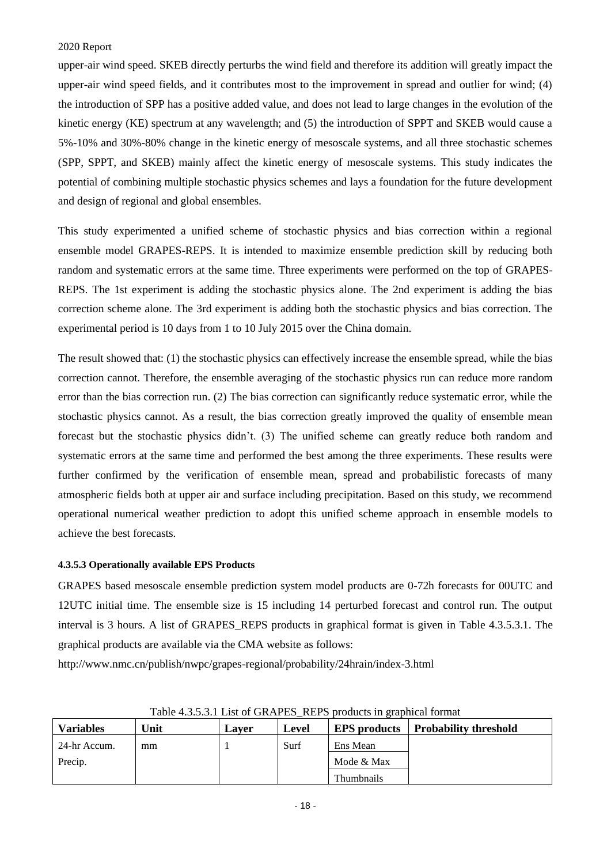upper-air wind speed. SKEB directly perturbs the wind field and therefore its addition will greatly impact the upper-air wind speed fields, and it contributes most to the improvement in spread and outlier for wind; (4) the introduction of SPP has a positive added value, and does not lead to large changes in the evolution of the kinetic energy (KE) spectrum at any wavelength; and (5) the introduction of SPPT and SKEB would cause a 5%-10% and 30%-80% change in the kinetic energy of mesoscale systems, and all three stochastic schemes (SPP, SPPT, and SKEB) mainly affect the kinetic energy of mesoscale systems. This study indicates the potential of combining multiple stochastic physics schemes and lays a foundation for the future development and design of regional and global ensembles.

This study experimented a unified scheme of stochastic physics and bias correction within a regional ensemble model GRAPES-REPS. It is intended to maximize ensemble prediction skill by reducing both random and systematic errors at the same time. Three experiments were performed on the top of GRAPES-REPS. The 1st experiment is adding the stochastic physics alone. The 2nd experiment is adding the bias correction scheme alone. The 3rd experiment is adding both the stochastic physics and bias correction. The experimental period is 10 days from 1 to 10 July 2015 over the China domain.

The result showed that: (1) the stochastic physics can effectively increase the ensemble spread, while the bias correction cannot. Therefore, the ensemble averaging of the stochastic physics run can reduce more random error than the bias correction run. (2) The bias correction can significantly reduce systematic error, while the stochastic physics cannot. As a result, the bias correction greatly improved the quality of ensemble mean forecast but the stochastic physics didn't. (3) The unified scheme can greatly reduce both random and systematic errors at the same time and performed the best among the three experiments. These results were further confirmed by the verification of ensemble mean, spread and probabilistic forecasts of many atmospheric fields both at upper air and surface including precipitation. Based on this study, we recommend operational numerical weather prediction to adopt this unified scheme approach in ensemble models to achieve the best forecasts.

### <span id="page-21-0"></span>**4.3.5.3 Operationally available EPS Products**

GRAPES based mesoscale ensemble prediction system model products are 0-72h forecasts for 00UTC and 12UTC initial time. The ensemble size is 15 including 14 perturbed forecast and control run. The output interval is 3 hours. A list of GRAPES REPS products in graphical format is given in Table 4.3.5.3.1. The graphical products are available via the CMA website as follows:

http://www.nmc.cn/publish/nwpc/grapes-regional/probability/24hrain/index-3.html

| Twore not to the of order the run o proceed in graphical format |      |              |       |                     |                              |  |
|-----------------------------------------------------------------|------|--------------|-------|---------------------|------------------------------|--|
| <b>Variables</b>                                                | Unit | <b>Laver</b> | Level | <b>EPS</b> products | <b>Probability threshold</b> |  |
| 24-hr Accum.                                                    | mm   |              | Surf  | Ens Mean            |                              |  |
| Precip.                                                         |      |              |       | Mode & Max          |                              |  |
|                                                                 |      |              |       | Thumbnails          |                              |  |

Table 4.3.5.3.1 List of GRAPES\_REPS products in graphical format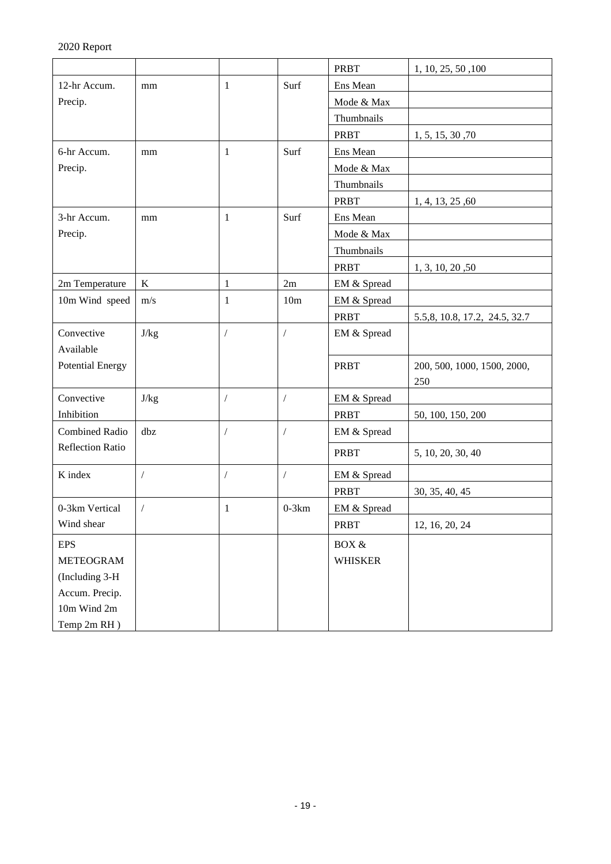|                         |            |                |                 | <b>PRBT</b>    | 1, 10, 25, 50, 100             |
|-------------------------|------------|----------------|-----------------|----------------|--------------------------------|
| 12-hr Accum.            | mm         | 1              | Surf            | Ens Mean       |                                |
| Precip.                 |            |                |                 | Mode & Max     |                                |
|                         |            |                |                 | Thumbnails     |                                |
|                         |            |                |                 | <b>PRBT</b>    | 1, 5, 15, 30, 70               |
| 6-hr Accum.             | mm         | $\mathbf{1}$   | Surf            | Ens Mean       |                                |
| Precip.                 |            |                |                 | Mode & Max     |                                |
|                         |            |                |                 | Thumbnails     |                                |
|                         |            |                |                 | <b>PRBT</b>    | 1, 4, 13, 25, 60               |
| 3-hr Accum.             | mm         | 1              | Surf            | Ens Mean       |                                |
| Precip.                 |            |                |                 | Mode & Max     |                                |
|                         |            |                |                 | Thumbnails     |                                |
|                         |            |                |                 | <b>PRBT</b>    | 1, 3, 10, 20, 50               |
| 2m Temperature          | $\bf K$    | $\mathbf{1}$   | 2m              | EM & Spread    |                                |
| 10m Wind speed          | m/s        | 1              | 10 <sub>m</sub> | EM & Spread    |                                |
|                         |            |                |                 | <b>PRBT</b>    | 5.5, 8, 10.8, 17.2, 24.5, 32.7 |
| Convective              | J/kg       | $\overline{1}$ | $\overline{1}$  | EM & Spread    |                                |
| Available               |            |                |                 |                |                                |
| <b>Potential Energy</b> |            |                |                 | <b>PRBT</b>    | 200, 500, 1000, 1500, 2000,    |
|                         |            |                |                 |                | 250                            |
| Convective              | J/kg       | $\sqrt{2}$     | $\sqrt{2}$      | EM & Spread    |                                |
| Inhibition              |            |                |                 | PRBT           | 50, 100, 150, 200              |
| <b>Combined Radio</b>   | dbz        | $\sqrt{2}$     | $\prime$        | EM & Spread    |                                |
| <b>Reflection Ratio</b> |            |                |                 | <b>PRBT</b>    | 5, 10, 20, 30, 40              |
| K index                 | $\sqrt{2}$ | $\sqrt{2}$     | $\overline{1}$  | EM & Spread    |                                |
|                         |            |                |                 | <b>PRBT</b>    | 30, 35, 40, 45                 |
| 0-3km Vertical          | $\sqrt{2}$ | $\mathbf{1}$   | $0-3km$         | EM & Spread    |                                |
| Wind shear              |            |                |                 | <b>PRBT</b>    | 12, 16, 20, 24                 |
| <b>EPS</b>              |            |                |                 | $\rm{BOX}$ &   |                                |
| <b>METEOGRAM</b>        |            |                |                 | <b>WHISKER</b> |                                |
| (Including 3-H          |            |                |                 |                |                                |
| Accum. Precip.          |            |                |                 |                |                                |
| 10m Wind 2m             |            |                |                 |                |                                |
| Temp 2m RH)             |            |                |                 |                |                                |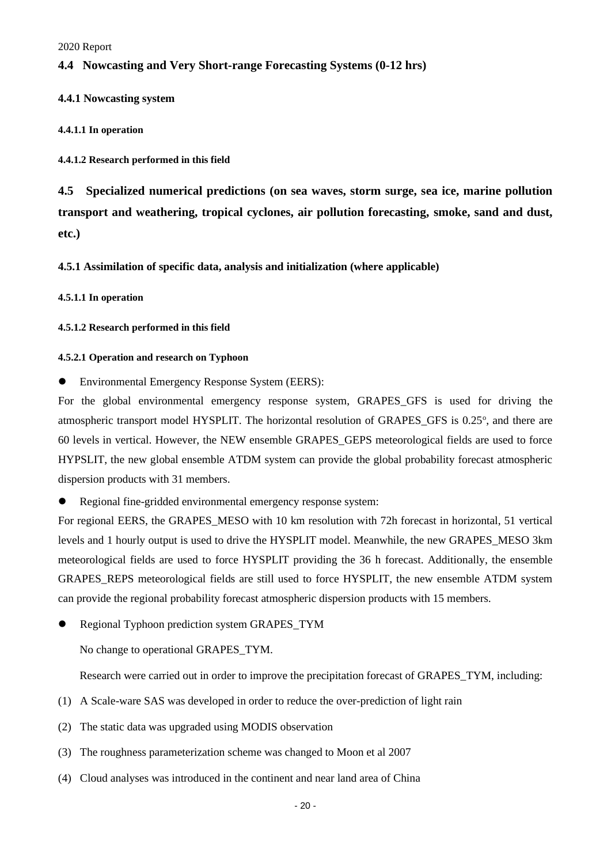## <span id="page-23-0"></span>**4.4 Nowcasting and Very Short-range Forecasting Systems (0-12 hrs)**

## <span id="page-23-1"></span>**4.4.1 Nowcasting system**

#### <span id="page-23-2"></span>**4.4.1.1 In operation**

<span id="page-23-3"></span>**4.4.1.2 Research performed in this field**

<span id="page-23-4"></span>**4.5 Specialized numerical predictions (on sea waves, storm surge, sea ice, marine pollution transport and weathering, tropical cyclones, air pollution forecasting, smoke, sand and dust, etc.)**

### <span id="page-23-5"></span>**4.5.1 Assimilation of specific data, analysis and initialization (where applicable)**

### <span id="page-23-6"></span>**4.5.1.1 In operation**

### <span id="page-23-7"></span>**4.5.1.2 Research performed in this field**

#### <span id="page-23-8"></span>**4.5.2.1 Operation and research on Typhoon**

● Environmental Emergency Response System (EERS):

For the global environmental emergency response system, GRAPES GFS is used for driving the atmospheric transport model HYSPLIT. The horizontal resolution of GRAPES\_GFS is 0.25°, and there are 60 levels in vertical. However, the NEW ensemble GRAPES\_GEPS meteorological fields are used to force HYPSLIT, the new global ensemble ATDM system can provide the global probability forecast atmospheric dispersion products with 31 members.

⚫ Regional fine-gridded environmental emergency response system:

For regional EERS, the GRAPES\_MESO with 10 km resolution with 72h forecast in horizontal, 51 vertical levels and 1 hourly output is used to drive the HYSPLIT model. Meanwhile, the new GRAPES\_MESO 3km meteorological fields are used to force HYSPLIT providing the 36 h forecast. Additionally, the ensemble GRAPES REPS meteorological fields are still used to force HYSPLIT, the new ensemble ATDM system can provide the regional probability forecast atmospheric dispersion products with 15 members.

● Regional Typhoon prediction system GRAPES TYM

No change to operational GRAPES\_TYM.

Research were carried out in order to improve the precipitation forecast of GRAPES\_TYM, including:

- (1) A Scale-ware SAS was developed in order to reduce the over-prediction of light rain
- (2) The static data was upgraded using MODIS observation
- (3) The roughness parameterization scheme was changed to Moon et al 2007
- (4) Cloud analyses was introduced in the continent and near land area of China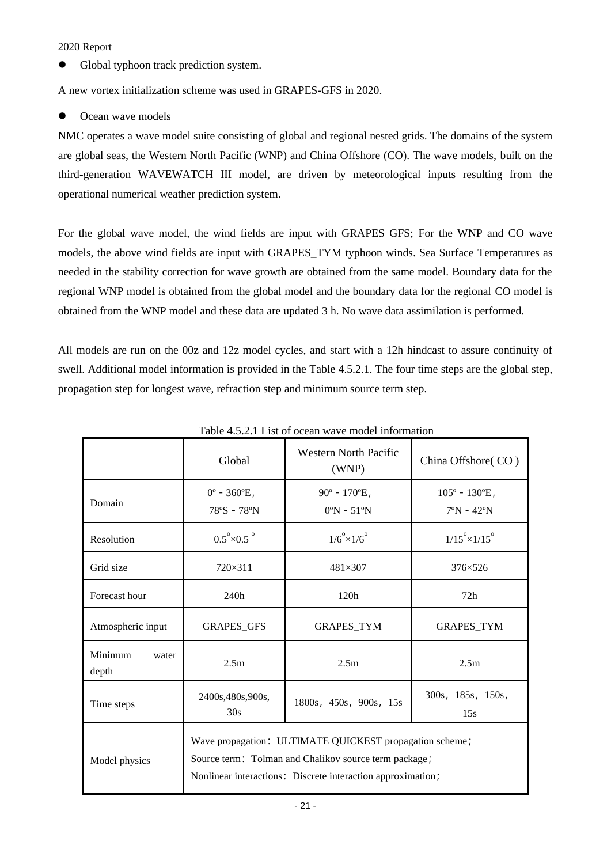⚫ Global typhoon track prediction system.

A new vortex initialization scheme was used in GRAPES-GFS in 2020.

● Ocean wave models

NMC operates a wave model suite consisting of global and regional nested grids. The domains of the system are global seas, the Western North Pacific (WNP) and China Offshore (CO). The wave models, built on the third-generation WAVEWATCH III model, are driven by meteorological inputs resulting from the operational numerical weather prediction system.

For the global wave model, the wind fields are input with GRAPES GFS; For the WNP and CO wave models, the above wind fields are input with GRAPES\_TYM typhoon winds. Sea Surface Temperatures as needed in the stability correction for wave growth are obtained from the same model. Boundary data for the regional WNP model is obtained from the global model and the boundary data for the regional CO model is obtained from the WNP model and these data are updated 3 h. No wave data assimilation is performed.

All models are run on the 00z and 12z model cycles, and start with a 12h hindcast to assure continuity of swell. Additional model information is provided in the Table 4.5.2.1. The four time steps are the global step, propagation step for longest wave, refraction step and minimum source term step.

|                           | <b>Western North Pacific</b><br>Global<br>(WNP)                                                                                                                                 |                                                                     | China Offshore (CO)                                                  |
|---------------------------|---------------------------------------------------------------------------------------------------------------------------------------------------------------------------------|---------------------------------------------------------------------|----------------------------------------------------------------------|
| Domain                    | $0^{\circ}$ - 360 $^{\circ}$ E,<br>$78°S - 78°N$                                                                                                                                | $90^{\circ}$ - 170 $^{\circ}$ E,<br>$0^{\circ}$ N - 51 $^{\circ}$ N | $105^{\circ}$ - 130 $^{\circ}$ E,<br>$7^{\circ}$ N - 42 $^{\circ}$ N |
| Resolution                | $0.5^{\circ}\times0.5^{\circ}$                                                                                                                                                  | $1/6^{\circ} \times 1/6^{\circ}$                                    | $1/15^{\circ} \times 1/15^{\circ}$                                   |
| Grid size                 | $720 \times 311$                                                                                                                                                                | $481\times307$                                                      | 376×526                                                              |
| Forecast hour             | 240h                                                                                                                                                                            | 120h                                                                | 72h                                                                  |
| Atmospheric input         | <b>GRAPES GFS</b>                                                                                                                                                               | <b>GRAPES TYM</b>                                                   | <b>GRAPES TYM</b>                                                    |
| Minimum<br>water<br>depth | 2.5m                                                                                                                                                                            | 2.5 <sub>m</sub>                                                    | 2.5m                                                                 |
| Time steps                | 2400s, 480s, 900s,<br>30s                                                                                                                                                       | 1800s, 450s, 900s, 15s                                              | 300s, 185s, 150s,<br>15s                                             |
| Model physics             | Wave propagation: ULTIMATE QUICKEST propagation scheme;<br>Source term: Tolman and Chalikov source term package;<br>Nonlinear interactions: Discrete interaction approximation; |                                                                     |                                                                      |

Table 4.5.2.1 List of ocean wave model information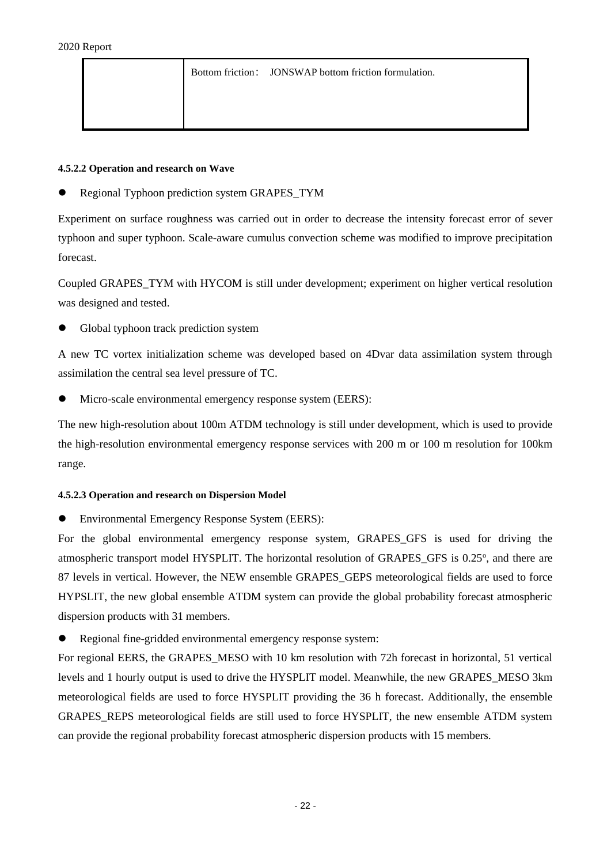Bottom friction: JONSWAP bottom friction formulation.

#### <span id="page-25-0"></span>**4.5.2.2 Operation and research on Wave**

⚫ Regional Typhoon prediction system GRAPES\_TYM

Experiment on surface roughness was carried out in order to decrease the intensity forecast error of sever typhoon and super typhoon. Scale-aware cumulus convection scheme was modified to improve precipitation forecast.

Coupled GRAPES\_TYM with HYCOM is still under development; experiment on higher vertical resolution was designed and tested.

⚫ Global typhoon track prediction system

A new TC vortex initialization scheme was developed based on 4Dvar data assimilation system through assimilation the central sea level pressure of TC.

⚫ Micro-scale environmental emergency response system (EERS):

The new high-resolution about 100m ATDM technology is still under development, which is used to provide the high-resolution environmental emergency response services with 200 m or 100 m resolution for 100km range.

#### <span id="page-25-1"></span>**4.5.2.3 Operation and research on Dispersion Model**

● Environmental Emergency Response System (EERS):

For the global environmental emergency response system, GRAPES\_GFS is used for driving the atmospheric transport model HYSPLIT. The horizontal resolution of GRAPES\_GFS is 0.25°, and there are 87 levels in vertical. However, the NEW ensemble GRAPES\_GEPS meteorological fields are used to force HYPSLIT, the new global ensemble ATDM system can provide the global probability forecast atmospheric dispersion products with 31 members.

⚫ Regional fine-gridded environmental emergency response system:

For regional EERS, the GRAPES MESO with 10 km resolution with 72h forecast in horizontal, 51 vertical levels and 1 hourly output is used to drive the HYSPLIT model. Meanwhile, the new GRAPES\_MESO 3km meteorological fields are used to force HYSPLIT providing the 36 h forecast. Additionally, the ensemble GRAPES REPS meteorological fields are still used to force HYSPLIT, the new ensemble ATDM system can provide the regional probability forecast atmospheric dispersion products with 15 members.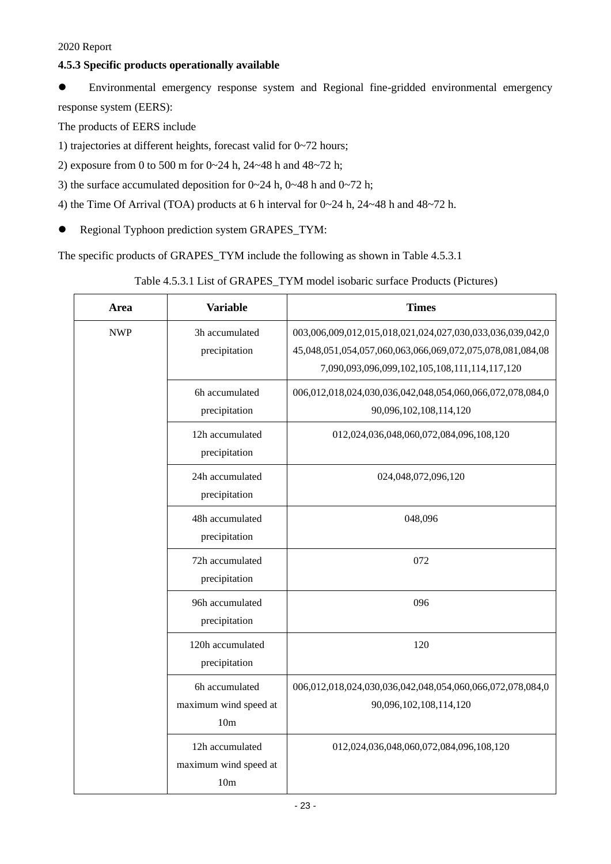## <span id="page-26-0"></span>**4.5.3 Specific products operationally available**

⚫ Environmental emergency response system and Regional fine-gridded environmental emergency response system (EERS):

The products of EERS include

1) trajectories at different heights, forecast valid for 0~72 hours;

2) exposure from 0 to 500 m for 0~24 h, 24~48 h and 48~72 h;

3) the surface accumulated deposition for  $0\nu$ -24 h,  $0\nu$ -48 h and  $0\nu$ -72 h;

4) the Time Of Arrival (TOA) products at 6 h interval for 0~24 h, 24~48 h and 48~72 h.

● Regional Typhoon prediction system GRAPES\_TYM:

The specific products of GRAPES\_TYM include the following as shown in Table 4.5.3.1

| Table 4.5.3.1 List of GRAPES_TYM model isobaric surface Products (Pictures) |  |
|-----------------------------------------------------------------------------|--|
|-----------------------------------------------------------------------------|--|

| Area       | <b>Variable</b>                                             | <b>Times</b>                                                                                                                                                            |
|------------|-------------------------------------------------------------|-------------------------------------------------------------------------------------------------------------------------------------------------------------------------|
| <b>NWP</b> | 3h accumulated<br>precipitation                             | 003,006,009,012,015,018,021,024,027,030,033,036,039,042,0<br>45,048,051,054,057,060,063,066,069,072,075,078,081,084,08<br>7,090,093,096,099,102,105,108,111,114,117,120 |
|            | 6h accumulated<br>precipitation                             | 006,012,018,024,030,036,042,048,054,060,066,072,078,084,0<br>90,096,102,108,114,120                                                                                     |
|            | 12h accumulated<br>precipitation                            | 012,024,036,048,060,072,084,096,108,120                                                                                                                                 |
|            | 24h accumulated<br>precipitation                            | 024,048,072,096,120                                                                                                                                                     |
|            | 48h accumulated<br>precipitation                            | 048,096                                                                                                                                                                 |
|            | 72h accumulated<br>precipitation                            | 072                                                                                                                                                                     |
|            | 96h accumulated<br>precipitation                            | 096                                                                                                                                                                     |
|            | 120h accumulated<br>precipitation                           | 120                                                                                                                                                                     |
|            | 6h accumulated<br>maximum wind speed at<br>10 <sub>m</sub>  | 006,012,018,024,030,036,042,048,054,060,066,072,078,084,0<br>90,096,102,108,114,120                                                                                     |
|            | 12h accumulated<br>maximum wind speed at<br>10 <sub>m</sub> | 012,024,036,048,060,072,084,096,108,120                                                                                                                                 |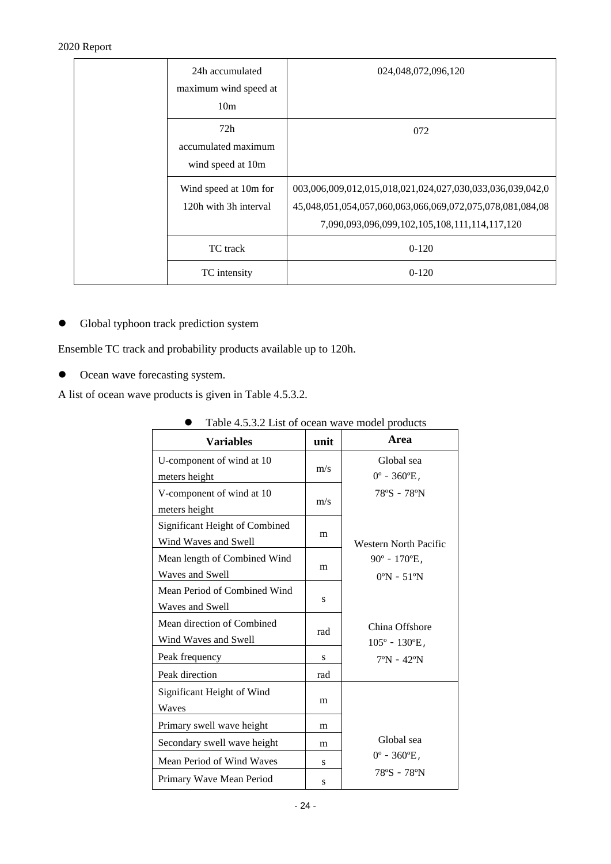| 24h accumulated<br>maximum wind speed at<br>10 <sub>m</sub> | 024,048,072,096,120                                                                                                                                                     |
|-------------------------------------------------------------|-------------------------------------------------------------------------------------------------------------------------------------------------------------------------|
| 72h<br>accumulated maximum<br>wind speed at 10m             | 072                                                                                                                                                                     |
| Wind speed at 10m for<br>120h with 3h interval              | 003,006,009,012,015,018,021,024,027,030,033,036,039,042,0<br>45,048,051,054,057,060,063,066,069,072,075,078,081,084,08<br>7,090,093,096,099,102,105,108,111,114,117,120 |
| TC track                                                    | $0-120$                                                                                                                                                                 |
| TC intensity                                                | $0-120$                                                                                                                                                                 |

⚫ Global typhoon track prediction system

Ensemble TC track and probability products available up to 120h.

⚫ Ocean wave forecasting system.

A list of ocean wave products is given in Table 4.5.3.2.

| <b>Variables</b>                                       | unit      | Area                                                           |
|--------------------------------------------------------|-----------|----------------------------------------------------------------|
| U-component of wind at 10<br>meters height             | m/s       | Global sea<br>$0^{\circ}$ - 360 $^{\circ}$ E,                  |
| V-component of wind at 10<br>meters height             | m/s       | 78°S - 78°N                                                    |
| Significant Height of Combined<br>Wind Waves and Swell | m         | <b>Western North Pacific</b>                                   |
| Mean length of Combined Wind<br>Waves and Swell        | m         | $90^{\circ}$ - 170 $^{\circ}$ E,<br>$0^{\circ}N - 51^{\circ}N$ |
| Mean Period of Combined Wind<br>Waves and Swell        | S         |                                                                |
| Mean direction of Combined<br>Wind Waves and Swell     | rad       | China Offshore<br>$105^{\circ}$ - 130 $^{\circ}$ E,            |
| Peak frequency                                         | S         | $7^{\circ}$ N - 42°N                                           |
| Peak direction                                         | rad       |                                                                |
| Significant Height of Wind<br>Waves                    | m         |                                                                |
| Primary swell wave height                              | m         |                                                                |
| Secondary swell wave height                            | m         | Global sea                                                     |
| Mean Period of Wind Waves                              | S         | $0^{\circ}$ - 360 $^{\circ}$ E,                                |
| Primary Wave Mean Period                               | ${\bf S}$ | 78°S - 78°N                                                    |

## ● Table 4.5.3.2 List of ocean wave model products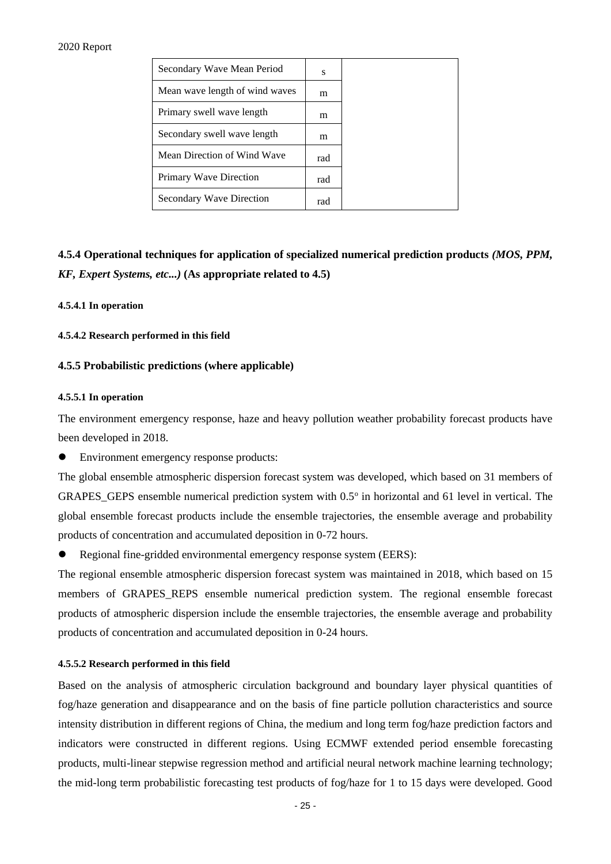| Secondary Wave Mean Period      | S   |
|---------------------------------|-----|
| Mean wave length of wind waves  | m   |
| Primary swell wave length       | m   |
| Secondary swell wave length     | m   |
| Mean Direction of Wind Wave     | rad |
| Primary Wave Direction          | rad |
| <b>Secondary Wave Direction</b> | rad |

## <span id="page-28-0"></span>**4.5.4 Operational techniques for application of specialized numerical prediction products** *(MOS, PPM, KF, Expert Systems, etc...)* **(As appropriate related to 4.5)**

#### <span id="page-28-1"></span>**4.5.4.1 In operation**

#### <span id="page-28-2"></span>**4.5.4.2 Research performed in this field**

### <span id="page-28-3"></span>**4.5.5 Probabilistic predictions (where applicable)**

#### <span id="page-28-4"></span>**4.5.5.1 In operation**

The environment emergency response, haze and heavy pollution weather probability forecast products have been developed in 2018.

● Environment emergency response products:

The global ensemble atmospheric dispersion forecast system was developed, which based on 31 members of GRAPES\_GEPS ensemble numerical prediction system with 0.5° in horizontal and 61 level in vertical. The global ensemble forecast products include the ensemble trajectories, the ensemble average and probability products of concentration and accumulated deposition in 0-72 hours.

⚫ Regional fine-gridded environmental emergency response system (EERS):

The regional ensemble atmospheric dispersion forecast system was maintained in 2018, which based on 15 members of GRAPES\_REPS ensemble numerical prediction system. The regional ensemble forecast products of atmospheric dispersion include the ensemble trajectories, the ensemble average and probability products of concentration and accumulated deposition in 0-24 hours.

#### <span id="page-28-5"></span>**4.5.5.2 Research performed in this field**

Based on the analysis of atmospheric circulation background and boundary layer physical quantities of fog/haze generation and disappearance and on the basis of fine particle pollution characteristics and source intensity distribution in different regions of China, the medium and long term fog/haze prediction factors and indicators were constructed in different regions. Using ECMWF extended period ensemble forecasting products, multi-linear stepwise regression method and artificial neural network machine learning technology; the mid-long term probabilistic forecasting test products of fog/haze for 1 to 15 days were developed. Good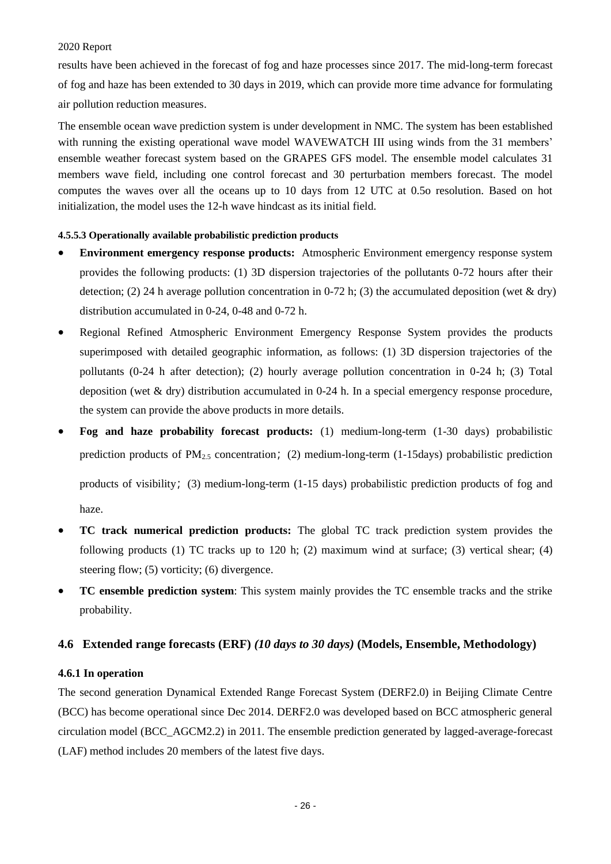results have been achieved in the forecast of fog and haze processes since 2017. The mid-long-term forecast of fog and haze has been extended to 30 days in 2019, which can provide more time advance for formulating air pollution reduction measures.

The ensemble ocean wave prediction system is under development in NMC. The system has been established with running the existing operational wave model WAVEWATCH III using winds from the 31 members' ensemble weather forecast system based on the GRAPES GFS model. The ensemble model calculates 31 members wave field, including one control forecast and 30 perturbation members forecast. The model computes the waves over all the oceans up to 10 days from 12 UTC at 0.5o resolution. Based on hot initialization, the model uses the 12-h wave hindcast as its initial field.

### <span id="page-29-0"></span>**4.5.5.3 Operationally available probabilistic prediction products**

- **Environment emergency response products:** Atmospheric Environment emergency response system provides the following products: (1) 3D dispersion trajectories of the pollutants 0-72 hours after their detection; (2) 24 h average pollution concentration in 0-72 h; (3) the accumulated deposition (wet & dry) distribution accumulated in 0-24, 0-48 and 0-72 h.
- Regional Refined Atmospheric Environment Emergency Response System provides the products superimposed with detailed geographic information, as follows: (1) 3D dispersion trajectories of the pollutants (0-24 h after detection); (2) hourly average pollution concentration in 0-24 h; (3) Total deposition (wet & dry) distribution accumulated in 0-24 h. In a special emergency response procedure, the system can provide the above products in more details.
- **Fog and haze probability forecast products:** (1) medium-long-term (1-30 days) probabilistic prediction products of  $PM_{2.5}$  concentration; (2) medium-long-term (1-15days) probabilistic prediction

products of visibility;(3) medium-long-term (1-15 days) probabilistic prediction products of fog and haze.

- **TC track numerical prediction products:** The global TC track prediction system provides the following products (1) TC tracks up to 120 h; (2) maximum wind at surface; (3) vertical shear; (4) steering flow; (5) vorticity; (6) divergence.
- **TC ensemble prediction system**: This system mainly provides the TC ensemble tracks and the strike probability.

## <span id="page-29-1"></span>**4.6 Extended range forecasts (ERF)** *(10 days to 30 days)* **(Models, Ensemble, Methodology)**

## <span id="page-29-2"></span>**4.6.1 In operation**

The second generation Dynamical Extended Range Forecast System (DERF2.0) in Beijing Climate Centre (BCC) has become operational since Dec 2014. DERF2.0 was developed based on BCC atmospheric general circulation model (BCC\_AGCM2.2) in 2011. The ensemble prediction generated by lagged-average-forecast (LAF) method includes 20 members of the latest five days.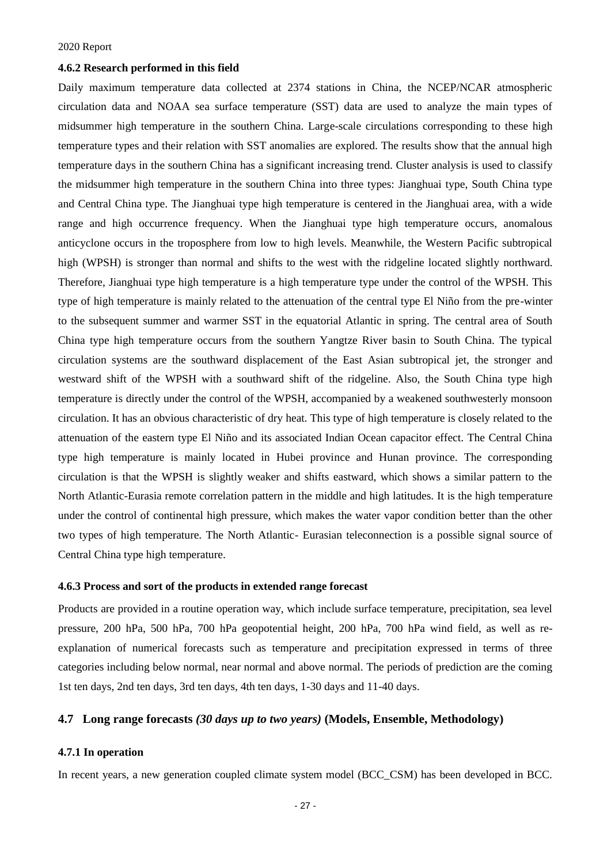#### <span id="page-30-0"></span>**4.6.2 Research performed in this field**

Daily maximum temperature data collected at 2374 stations in China, the NCEP/NCAR atmospheric circulation data and NOAA sea surface temperature (SST) data are used to analyze the main types of midsummer high temperature in the southern China. Large-scale circulations corresponding to these high temperature types and their relation with SST anomalies are explored. The results show that the annual high temperature days in the southern China has a significant increasing trend. Cluster analysis is used to classify the midsummer high temperature in the southern China into three types: Jianghuai type, South China type and Central China type. The Jianghuai type high temperature is centered in the Jianghuai area, with a wide range and high occurrence frequency. When the Jianghuai type high temperature occurs, anomalous anticyclone occurs in the troposphere from low to high levels. Meanwhile, the Western Pacific subtropical high (WPSH) is stronger than normal and shifts to the west with the ridgeline located slightly northward. Therefore, Jianghuai type high temperature is a high temperature type under the control of the WPSH. This type of high temperature is mainly related to the attenuation of the central type El Niño from the pre-winter to the subsequent summer and warmer SST in the equatorial Atlantic in spring. The central area of South China type high temperature occurs from the southern Yangtze River basin to South China. The typical circulation systems are the southward displacement of the East Asian subtropical jet, the stronger and westward shift of the WPSH with a southward shift of the ridgeline. Also, the South China type high temperature is directly under the control of the WPSH, accompanied by a weakened southwesterly monsoon circulation. It has an obvious characteristic of dry heat. This type of high temperature is closely related to the attenuation of the eastern type El Niño and its associated Indian Ocean capacitor effect. The Central China type high temperature is mainly located in Hubei province and Hunan province. The corresponding circulation is that the WPSH is slightly weaker and shifts eastward, which shows a similar pattern to the North Atlantic-Eurasia remote correlation pattern in the middle and high latitudes. It is the high temperature under the control of continental high pressure, which makes the water vapor condition better than the other two types of high temperature. The North Atlantic- Eurasian teleconnection is a possible signal source of Central China type high temperature.

### <span id="page-30-1"></span>**4.6.3 Process and sort of the products in extended range forecast**

Products are provided in a routine operation way, which include surface temperature, precipitation, sea level pressure, 200 hPa, 500 hPa, 700 hPa geopotential height, 200 hPa, 700 hPa wind field, as well as reexplanation of numerical forecasts such as temperature and precipitation expressed in terms of three categories including below normal, near normal and above normal. The periods of prediction are the coming 1st ten days, 2nd ten days, 3rd ten days, 4th ten days, 1-30 days and 11-40 days.

### <span id="page-30-2"></span>**4.7 Long range forecasts** *(30 days up to two years)* **(Models, Ensemble, Methodology)**

### <span id="page-30-3"></span>**4.7.1 In operation**

In recent years, a new generation coupled climate system model (BCC\_CSM) has been developed in BCC.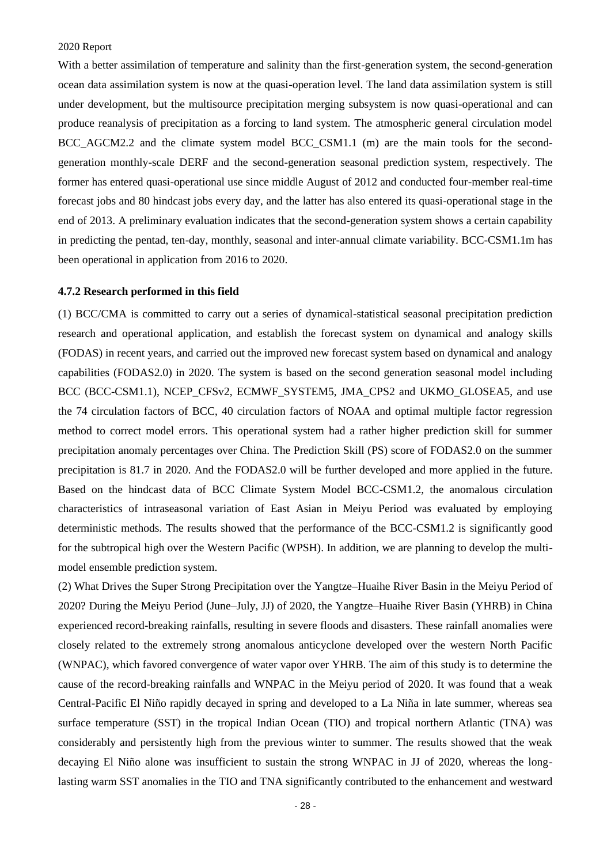With a better assimilation of temperature and salinity than the first-generation system, the second-generation ocean data assimilation system is now at the quasi-operation level. The land data assimilation system is still under development, but the multisource precipitation merging subsystem is now quasi-operational and can produce reanalysis of precipitation as a forcing to land system. The atmospheric general circulation model BCC\_AGCM2.2 and the climate system model BCC\_CSM1.1 (m) are the main tools for the secondgeneration monthly-scale DERF and the second-generation seasonal prediction system, respectively. The former has entered quasi-operational use since middle August of 2012 and conducted four-member real-time forecast jobs and 80 hindcast jobs every day, and the latter has also entered its quasi-operational stage in the end of 2013. A preliminary evaluation indicates that the second-generation system shows a certain capability in predicting the pentad, ten-day, monthly, seasonal and inter-annual climate variability. BCC-CSM1.1m has been operational in application from 2016 to 2020.

#### <span id="page-31-0"></span>**4.7.2 Research performed in this field**

(1) BCC/CMA is committed to carry out a series of dynamical-statistical seasonal precipitation prediction research and operational application, and establish the forecast system on dynamical and analogy skills (FODAS) in recent years, and carried out the improved new forecast system based on dynamical and analogy capabilities (FODAS2.0) in 2020. The system is based on the second generation seasonal model including BCC (BCC-CSM1.1), NCEP\_CFSv2, ECMWF\_SYSTEM5, JMA\_CPS2 and UKMO\_GLOSEA5, and use the 74 circulation factors of BCC, 40 circulation factors of NOAA and optimal multiple factor regression method to correct model errors. This operational system had a rather higher prediction skill for summer precipitation anomaly percentages over China. The Prediction Skill (PS) score of FODAS2.0 on the summer precipitation is 81.7 in 2020. And the FODAS2.0 will be further developed and more applied in the future. Based on the hindcast data of BCC Climate System Model BCC-CSM1.2, the anomalous circulation characteristics of intraseasonal variation of East Asian in Meiyu Period was evaluated by employing deterministic methods. The results showed that the performance of the BCC-CSM1.2 is significantly good for the subtropical high over the Western Pacific (WPSH). In addition, we are planning to develop the multimodel ensemble prediction system.

(2) What Drives the Super Strong Precipitation over the Yangtze–Huaihe River Basin in the Meiyu Period of 2020? During the Meiyu Period (June–July, JJ) of 2020, the Yangtze–Huaihe River Basin (YHRB) in China experienced record-breaking rainfalls, resulting in severe floods and disasters. These rainfall anomalies were closely related to the extremely strong anomalous anticyclone developed over the western North Pacific (WNPAC), which favored convergence of water vapor over YHRB. The aim of this study is to determine the cause of the record-breaking rainfalls and WNPAC in the Meiyu period of 2020. It was found that a weak Central-Pacific El Niño rapidly decayed in spring and developed to a La Niña in late summer, whereas sea surface temperature (SST) in the tropical Indian Ocean (TIO) and tropical northern Atlantic (TNA) was considerably and persistently high from the previous winter to summer. The results showed that the weak decaying El Niño alone was insufficient to sustain the strong WNPAC in JJ of 2020, whereas the longlasting warm SST anomalies in the TIO and TNA significantly contributed to the enhancement and westward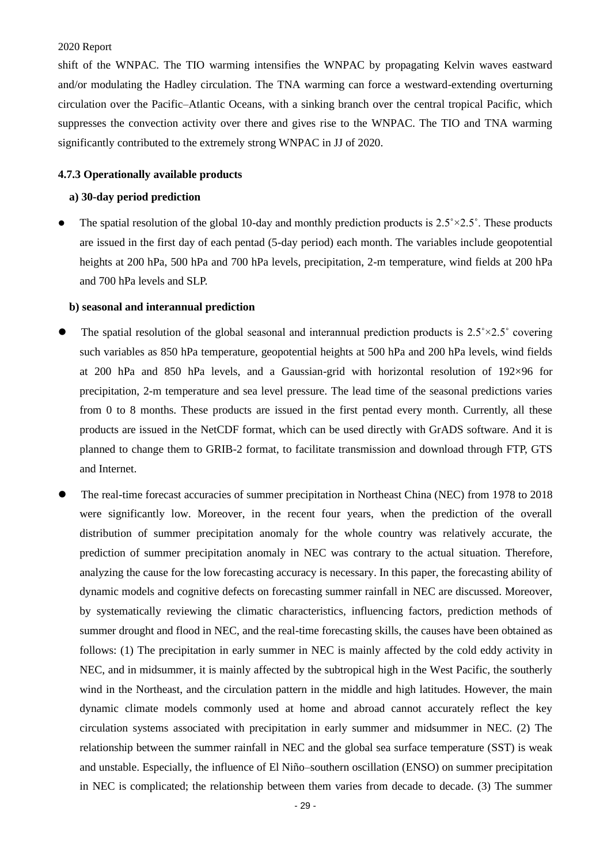shift of the WNPAC. The TIO warming intensifies the WNPAC by propagating Kelvin waves eastward and/or modulating the Hadley circulation. The TNA warming can force a westward-extending overturning circulation over the Pacific–Atlantic Oceans, with a sinking branch over the central tropical Pacific, which suppresses the convection activity over there and gives rise to the WNPAC. The TIO and TNA warming significantly contributed to the extremely strong WNPAC in JJ of 2020.

### <span id="page-32-0"></span>**4.7.3 Operationally available products**

### **a) 30-day period prediction**

The spatial resolution of the global 10-day and monthly prediction products is  $2.5\degree \times 2.5\degree$ . These products are issued in the first day of each pentad (5-day period) each month. The variables include geopotential heights at 200 hPa, 500 hPa and 700 hPa levels, precipitation, 2-m temperature, wind fields at 200 hPa and 700 hPa levels and SLP.

#### **b) seasonal and interannual prediction**

- The spatial resolution of the global seasonal and interannual prediction products is  $2.5° \times 2.5°$  covering such variables as 850 hPa temperature, geopotential heights at 500 hPa and 200 hPa levels, wind fields at 200 hPa and 850 hPa levels, and a Gaussian-grid with horizontal resolution of 192×96 for precipitation, 2-m temperature and sea level pressure. The lead time of the seasonal predictions varies from 0 to 8 months. These products are issued in the first pentad every month. Currently, all these products are issued in the NetCDF format, which can be used directly with GrADS software. And it is planned to change them to GRIB-2 format, to facilitate transmission and download through FTP, GTS and Internet.
- ⚫ The real-time forecast accuracies of summer precipitation in Northeast China (NEC) from 1978 to 2018 were significantly low. Moreover, in the recent four years, when the prediction of the overall distribution of summer precipitation anomaly for the whole country was relatively accurate, the prediction of summer precipitation anomaly in NEC was contrary to the actual situation. Therefore, analyzing the cause for the low forecasting accuracy is necessary. In this paper, the forecasting ability of dynamic models and cognitive defects on forecasting summer rainfall in NEC are discussed. Moreover, by systematically reviewing the climatic characteristics, influencing factors, prediction methods of summer drought and flood in NEC, and the real-time forecasting skills, the causes have been obtained as follows: (1) The precipitation in early summer in NEC is mainly affected by the cold eddy activity in NEC, and in midsummer, it is mainly affected by the subtropical high in the West Pacific, the southerly wind in the Northeast, and the circulation pattern in the middle and high latitudes. However, the main dynamic climate models commonly used at home and abroad cannot accurately reflect the key circulation systems associated with precipitation in early summer and midsummer in NEC. (2) The relationship between the summer rainfall in NEC and the global sea surface temperature (SST) is weak and unstable. Especially, the influence of El Niño–southern oscillation (ENSO) on summer precipitation in NEC is complicated; the relationship between them varies from decade to decade. (3) The summer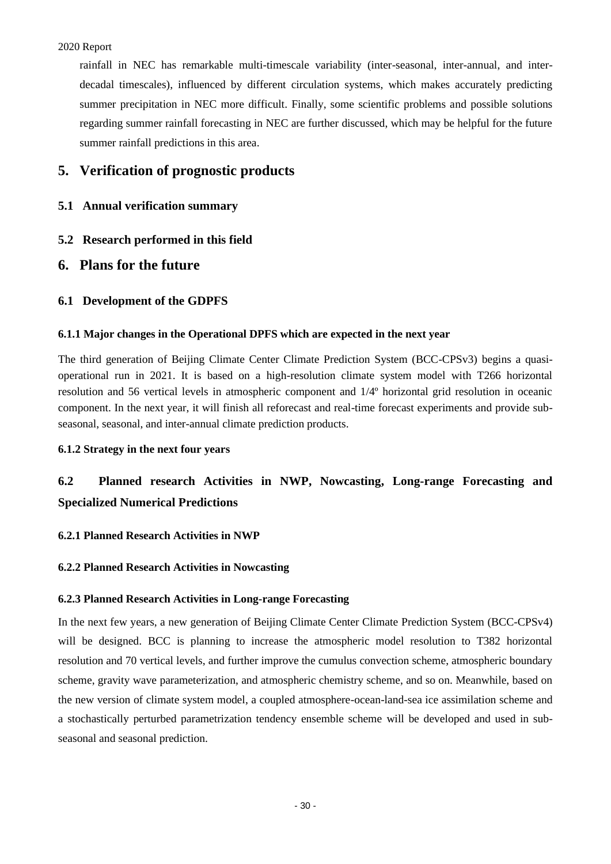rainfall in NEC has remarkable multi-timescale variability (inter-seasonal, inter-annual, and interdecadal timescales), influenced by different circulation systems, which makes accurately predicting summer precipitation in NEC more difficult. Finally, some scientific problems and possible solutions regarding summer rainfall forecasting in NEC are further discussed, which may be helpful for the future summer rainfall predictions in this area.

## <span id="page-33-0"></span>**5. Verification of prognostic products**

## <span id="page-33-1"></span>**5.1 Annual verification summary**

<span id="page-33-2"></span>**5.2 Research performed in this field**

## <span id="page-33-3"></span>**6. Plans for the future**

## <span id="page-33-4"></span>**6.1 Development of the GDPFS**

## <span id="page-33-5"></span>**6.1.1 Major changes in the Operational DPFS which are expected in the next year**

The third generation of Beijing Climate Center Climate Prediction System (BCC-CPSv3) begins a quasioperational run in 2021. It is based on a high-resolution climate system model with T266 horizontal resolution and 56 vertical levels in atmospheric component and 1/4º horizontal grid resolution in oceanic component. In the next year, it will finish all reforecast and real-time forecast experiments and provide subseasonal, seasonal, and inter-annual climate prediction products.

## <span id="page-33-6"></span>**6.1.2 Strategy in the next four years**

## <span id="page-33-7"></span>**6.2 Planned research Activities in NWP, Nowcasting, Long-range Forecasting and Specialized Numerical Predictions**

## <span id="page-33-8"></span>**6.2.1 Planned Research Activities in NWP**

## <span id="page-33-9"></span>**6.2.2 Planned Research Activities in Nowcasting**

## <span id="page-33-10"></span>**6.2.3 Planned Research Activities in Long-range Forecasting**

In the next few years, a new generation of Beijing Climate Center Climate Prediction System (BCC-CPSv4) will be designed. BCC is planning to increase the atmospheric model resolution to T382 horizontal resolution and 70 vertical levels, and further improve the cumulus convection scheme, atmospheric boundary scheme, gravity wave parameterization, and atmospheric chemistry scheme, and so on. Meanwhile, based on the new version of climate system model, a coupled atmosphere-ocean-land-sea ice assimilation scheme and a stochastically perturbed parametrization tendency ensemble scheme will be developed and used in subseasonal and seasonal prediction.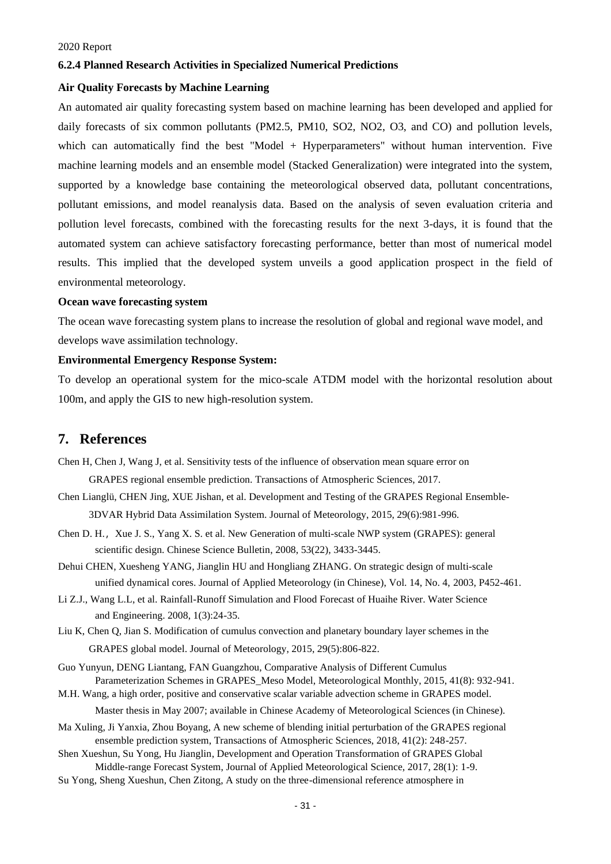#### <span id="page-34-0"></span>**6.2.4 Planned Research Activities in Specialized Numerical Predictions**

#### **Air Quality Forecasts by Machine Learning**

An automated air quality forecasting system based on machine learning has been developed and applied for daily forecasts of six common pollutants (PM2.5, PM10, SO2, NO2, O3, and CO) and pollution levels, which can automatically find the best "Model + Hyperparameters" without human intervention. Five machine learning models and an ensemble model (Stacked Generalization) were integrated into the system, supported by a knowledge base containing the meteorological observed data, pollutant concentrations, pollutant emissions, and model reanalysis data. Based on the analysis of seven evaluation criteria and pollution level forecasts, combined with the forecasting results for the next 3-days, it is found that the automated system can achieve satisfactory forecasting performance, better than most of numerical model results. This implied that the developed system unveils a good application prospect in the field of environmental meteorology.

#### **Ocean wave forecasting system**

The ocean wave forecasting system plans to increase the resolution of global and regional wave model, and develops wave assimilation technology.

#### **Environmental Emergency Response System:**

To develop an operational system for the mico-scale ATDM model with the horizontal resolution about 100m, and apply the GIS to new high-resolution system.

### <span id="page-34-1"></span>**7. References**

Chen H, Chen J, Wang J, et al. Sensitivity tests of the influence of observation mean square error on GRAPES regional ensemble prediction. Transactions of Atmospheric Sciences, 2017.

- Chen Lianglü, CHEN Jing, XUE Jishan, et al. Development and Testing of the GRAPES Regional Ensemble-3DVAR Hybrid Data Assimilation System. Journal of Meteorology, 2015, 29(6):981-996.
- Chen D. H., Xue J. S., Yang X. S. et al. New Generation of multi-scale NWP system (GRAPES): general scientific design. Chinese Science Bulletin, 2008, 53(22), 3433-3445.
- Dehui CHEN, Xuesheng YANG, Jianglin HU and Hongliang ZHANG. On strategic design of multi-scale unified dynamical cores. Journal of Applied Meteorology (in Chinese), Vol. 14, No. 4, 2003, P452-461.
- Li Z.J., Wang L.L, et al. Rainfall-Runoff Simulation and Flood Forecast of Huaihe River. Water Science and Engineering. 2008, 1(3):24-35.
- Liu K, Chen Q, Jian S. Modification of cumulus convection and planetary boundary layer schemes in the GRAPES global model. Journal of Meteorology, 2015, 29(5):806-822.
- Guo Yunyun, DENG Liantang, FAN Guangzhou, Comparative Analysis of Different Cumulus Parameterization Schemes in GRAPES\_Meso Model, Meteorological Monthly, 2015, 41(8): 932-941.
- M.H. Wang, a high order, positive and conservative scalar variable advection scheme in GRAPES model. Master thesis in May 2007; available in Chinese Academy of Meteorological Sciences (in Chinese).
- Ma Xuling, Ji Yanxia, Zhou Boyang, A new scheme of blending initial perturbation of the GRAPES regional ensemble prediction system, Transactions of Atmospheric Sciences, 2018, 41(2): 248-257.
- Shen Xueshun, Su Yong, Hu Jianglin, Development and Operation Transformation of GRAPES Global Middle-range Forecast System, Journal of Applied Meteorological Science, 2017, 28(1): 1-9.
- Su Yong, Sheng Xueshun, Chen Zitong, A study on the three-dimensional reference atmosphere in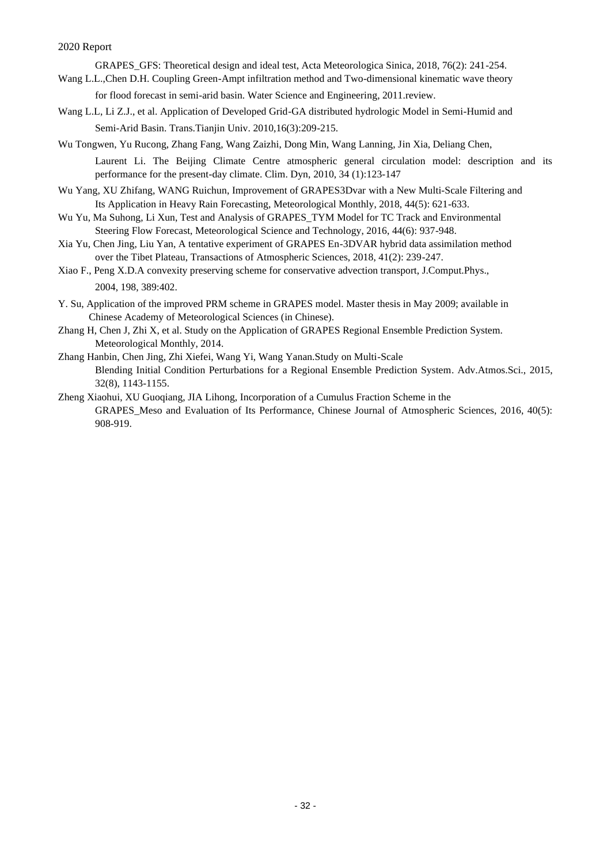GRAPES\_GFS: Theoretical design and ideal test, Acta Meteorologica Sinica, 2018, 76(2): 241-254.

- Wang L.L.,Chen D.H. Coupling Green-Ampt infiltration method and Two-dimensional kinematic wave theory for flood forecast in semi-arid basin. Water Science and Engineering, 2011.review.
- Wang L.L, Li Z.J., et al. Application of Developed Grid-GA distributed hydrologic Model in Semi-Humid and Semi-Arid Basin. Trans.Tianjin Univ. 2010,16(3):209-215.
- Wu Tongwen, Yu Rucong, Zhang Fang, Wang Zaizhi, Dong Min, Wang Lanning, Jin Xia, Deliang Chen, Laurent Li. The Beijing Climate Centre atmospheric general circulation model: description and its performance for the present-day climate. Clim. Dyn, 2010, 34 (1):123-147
- Wu Yang, XU Zhifang, WANG Ruichun, Improvement of GRAPES3Dvar with a New Multi-Scale Filtering and Its Application in Heavy Rain Forecasting, Meteorological Monthly, 2018, 44(5): 621-633.
- Wu Yu, Ma Suhong, Li Xun, Test and Analysis of GRAPES\_TYM Model for TC Track and Environmental Steering Flow Forecast, Meteorological Science and Technology, 2016, 44(6): 937-948.
- Xia Yu, Chen Jing, Liu Yan, A tentative experiment of GRAPES En-3DVAR hybrid data assimilation method over the Tibet Plateau, Transactions of Atmospheric Sciences, 2018, 41(2): 239-247.
- Xiao F., Peng X.D.A convexity preserving scheme for conservative advection transport, J.Comput.Phys., 2004, 198, 389:402.
- Y. Su, Application of the improved PRM scheme in GRAPES model. Master thesis in May 2009; available in Chinese Academy of Meteorological Sciences (in Chinese).
- Zhang H, Chen J, Zhi X, et al. Study on the Application of GRAPES Regional Ensemble Prediction System. Meteorological Monthly, 2014.
- Zhang Hanbin, Chen Jing, Zhi Xiefei, Wang Yi, Wang Yanan.Study on Multi-Scale Blending Initial Condition Perturbations for a Regional Ensemble Prediction System. Adv.Atmos.Sci., 2015, 32(8), 1143-1155.
- <span id="page-35-0"></span>Zheng Xiaohui, XU Guoqiang, JIA Lihong, Incorporation of a Cumulus Fraction Scheme in the GRAPES\_Meso and Evaluation of Its Performance, Chinese Journal of Atmospheric Sciences, 2016, 40(5): 908-919.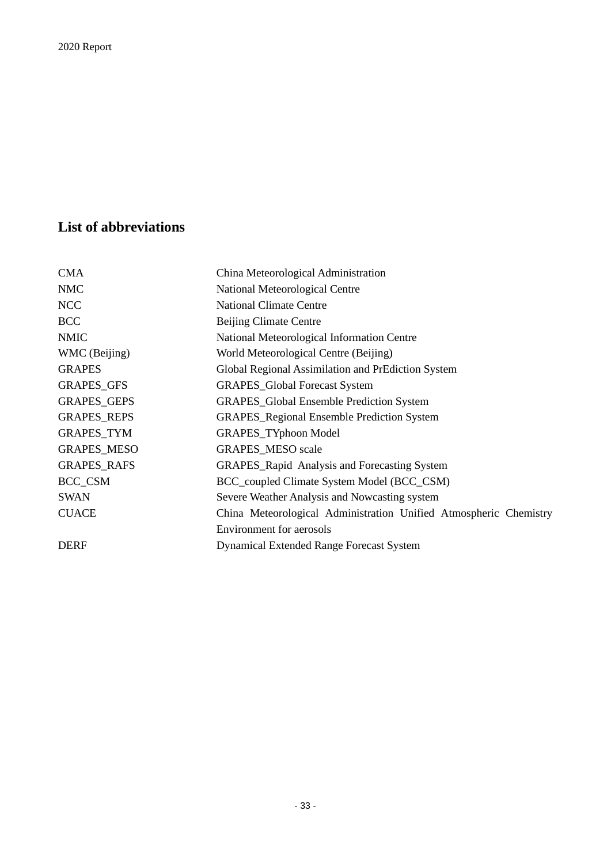# **List of abbreviations**

| <b>CMA</b>         | China Meteorological Administration                               |
|--------------------|-------------------------------------------------------------------|
| <b>NMC</b>         | National Meteorological Centre                                    |
| <b>NCC</b>         | <b>National Climate Centre</b>                                    |
| <b>BCC</b>         | Beijing Climate Centre                                            |
| <b>NMIC</b>        | National Meteorological Information Centre                        |
| WMC (Beijing)      | World Meteorological Centre (Beijing)                             |
| <b>GRAPES</b>      | Global Regional Assimilation and PrEdiction System                |
| <b>GRAPES_GFS</b>  | <b>GRAPES_Global Forecast System</b>                              |
| <b>GRAPES_GEPS</b> | <b>GRAPES_Global Ensemble Prediction System</b>                   |
| <b>GRAPES_REPS</b> | <b>GRAPES_Regional Ensemble Prediction System</b>                 |
| <b>GRAPES_TYM</b>  | GRAPES_TYphoon Model                                              |
| <b>GRAPES_MESO</b> | <b>GRAPES_MESO</b> scale                                          |
| <b>GRAPES_RAFS</b> | <b>GRAPES_Rapid Analysis and Forecasting System</b>               |
| <b>BCC_CSM</b>     | BCC_coupled Climate System Model (BCC_CSM)                        |
| <b>SWAN</b>        | Severe Weather Analysis and Nowcasting system                     |
| <b>CUACE</b>       | China Meteorological Administration Unified Atmospheric Chemistry |
|                    | <b>Environment</b> for aerosols                                   |
| <b>DERF</b>        | <b>Dynamical Extended Range Forecast System</b>                   |